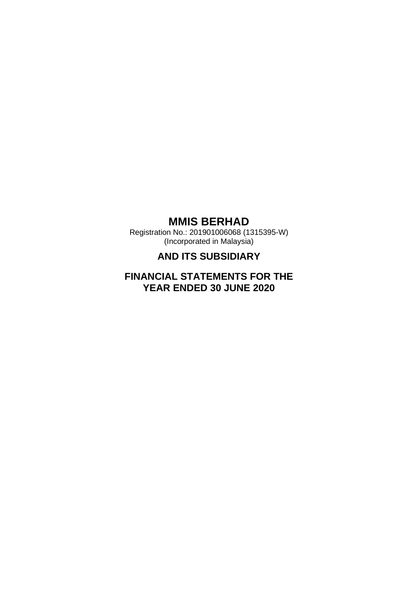Registration No.: 201901006068 (1315395-W) (Incorporated in Malaysia)

# **AND ITS SUBSIDIARY**

# **FINANCIAL STATEMENTS FOR THE YEAR ENDED 30 JUNE 2020**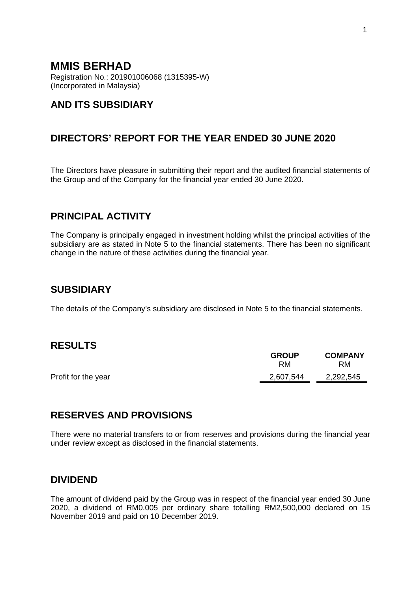Registration No.: 201901006068 (1315395-W) (Incorporated in Malaysia)

# **AND ITS SUBSIDIARY**

# **DIRECTORS' REPORT FOR THE YEAR ENDED 30 JUNE 2020**

The Directors have pleasure in submitting their report and the audited financial statements of the Group and of the Company for the financial year ended 30 June 2020.

## **PRINCIPAL ACTIVITY**

The Company is principally engaged in investment holding whilst the principal activities of the subsidiary are as stated in Note 5 to the financial statements. There has been no significant change in the nature of these activities during the financial year.

## **SUBSIDIARY**

The details of the Company's subsidiary are disclosed in Note 5 to the financial statements.

## **RESULTS**

|                     | <b>GROUP</b><br><b>RM</b> | <b>COMPANY</b><br>RM |
|---------------------|---------------------------|----------------------|
| Profit for the year | 2,607,544                 | 2,292,545            |
|                     |                           |                      |

# **RESERVES AND PROVISIONS**

There were no material transfers to or from reserves and provisions during the financial year under review except as disclosed in the financial statements.

## **DIVIDEND**

The amount of dividend paid by the Group was in respect of the financial year ended 30 June 2020, a dividend of RM0.005 per ordinary share totalling RM2,500,000 declared on 15 November 2019 and paid on 10 December 2019.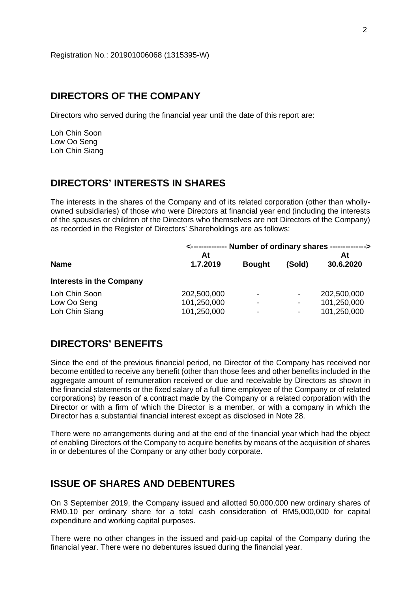## **DIRECTORS OF THE COMPANY**

Directors who served during the financial year until the date of this report are:

Loh Chin Soon Low Oo Seng Loh Chin Siang

## **DIRECTORS' INTERESTS IN SHARES**

The interests in the shares of the Company and of its related corporation (other than whollyowned subsidiaries) of those who were Directors at financial year end (including the interests of the spouses or children of the Directors who themselves are not Directors of the Company) as recorded in the Register of Directors' Shareholdings are as follows:

|                                                | <-------------- Number of ordinary shares --------------> |                                                     |                                    |                                           |  |  |
|------------------------------------------------|-----------------------------------------------------------|-----------------------------------------------------|------------------------------------|-------------------------------------------|--|--|
| <b>Name</b>                                    | At<br>1.7.2019<br><b>Bought</b>                           |                                                     | (Sold)                             | At<br>30.6.2020                           |  |  |
| <b>Interests in the Company</b>                |                                                           |                                                     |                                    |                                           |  |  |
| Loh Chin Soon<br>Low Oo Seng<br>Loh Chin Siang | 202,500,000<br>101,250,000<br>101,250,000                 | $\qquad \qquad \blacksquare$<br>٠<br>$\blacksquare$ | $\overline{\phantom{a}}$<br>-<br>۰ | 202,500,000<br>101,250,000<br>101,250,000 |  |  |

## **DIRECTORS' BENEFITS**

Since the end of the previous financial period, no Director of the Company has received nor become entitled to receive any benefit (other than those fees and other benefits included in the aggregate amount of remuneration received or due and receivable by Directors as shown in the financial statements or the fixed salary of a full time employee of the Company or of related corporations) by reason of a contract made by the Company or a related corporation with the Director or with a firm of which the Director is a member, or with a company in which the Director has a substantial financial interest except as disclosed in Note 28.

There were no arrangements during and at the end of the financial year which had the object of enabling Directors of the Company to acquire benefits by means of the acquisition of shares in or debentures of the Company or any other body corporate.

## **ISSUE OF SHARES AND DEBENTURES**

On 3 September 2019, the Company issued and allotted 50,000,000 new ordinary shares of RM0.10 per ordinary share for a total cash consideration of RM5,000,000 for capital expenditure and working capital purposes.

There were no other changes in the issued and paid-up capital of the Company during the financial year. There were no debentures issued during the financial year.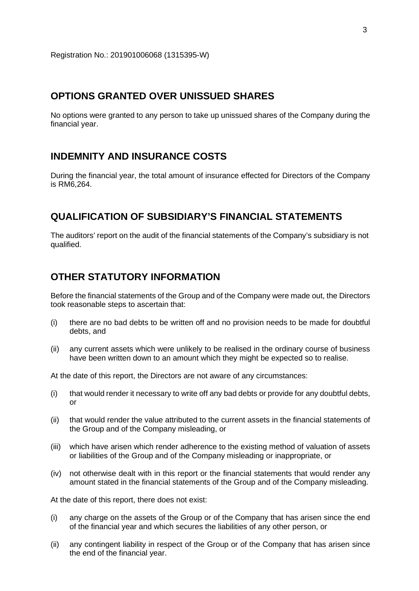## **OPTIONS GRANTED OVER UNISSUED SHARES**

No options were granted to any person to take up unissued shares of the Company during the financial year.

## **INDEMNITY AND INSURANCE COSTS**

During the financial year, the total amount of insurance effected for Directors of the Company is RM6,264.

## **QUALIFICATION OF SUBSIDIARY'S FINANCIAL STATEMENTS**

The auditors' report on the audit of the financial statements of the Company's subsidiary is not qualified.

# **OTHER STATUTORY INFORMATION**

Before the financial statements of the Group and of the Company were made out, the Directors took reasonable steps to ascertain that:

- (i) there are no bad debts to be written off and no provision needs to be made for doubtful debts, and
- (ii) any current assets which were unlikely to be realised in the ordinary course of business have been written down to an amount which they might be expected so to realise.

At the date of this report, the Directors are not aware of any circumstances:

- (i) that would render it necessary to write off any bad debts or provide for any doubtful debts, or
- (ii) that would render the value attributed to the current assets in the financial statements of the Group and of the Company misleading, or
- (iii) which have arisen which render adherence to the existing method of valuation of assets or liabilities of the Group and of the Company misleading or inappropriate, or
- (iv) not otherwise dealt with in this report or the financial statements that would render any amount stated in the financial statements of the Group and of the Company misleading.

At the date of this report, there does not exist:

- (i) any charge on the assets of the Group or of the Company that has arisen since the end of the financial year and which secures the liabilities of any other person, or
- (ii) any contingent liability in respect of the Group or of the Company that has arisen since the end of the financial year.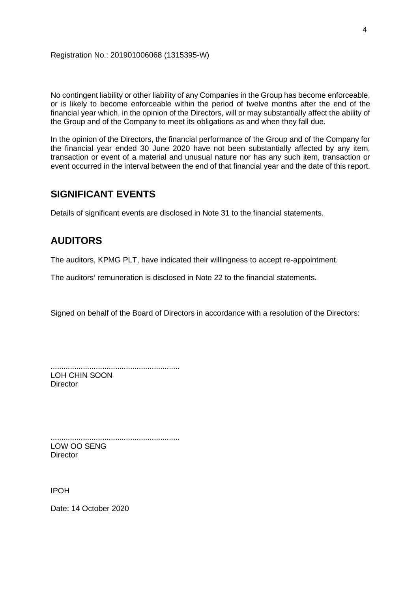No contingent liability or other liability of any Companies in the Group has become enforceable, or is likely to become enforceable within the period of twelve months after the end of the financial year which, in the opinion of the Directors, will or may substantially affect the ability of the Group and of the Company to meet its obligations as and when they fall due.

In the opinion of the Directors, the financial performance of the Group and of the Company for the financial year ended 30 June 2020 have not been substantially affected by any item, transaction or event of a material and unusual nature nor has any such item, transaction or event occurred in the interval between the end of that financial year and the date of this report.

# **SIGNIFICANT EVENTS**

Details of significant events are disclosed in Note 31 to the financial statements.

# **AUDITORS**

The auditors, KPMG PLT, have indicated their willingness to accept re-appointment.

The auditors' remuneration is disclosed in Note 22 to the financial statements.

Signed on behalf of the Board of Directors in accordance with a resolution of the Directors:

............................................................ LOH CHIN SOON

**Director** 

............................................................ LOW OO SENG **Director** 

IPOH

Date: 14 October 2020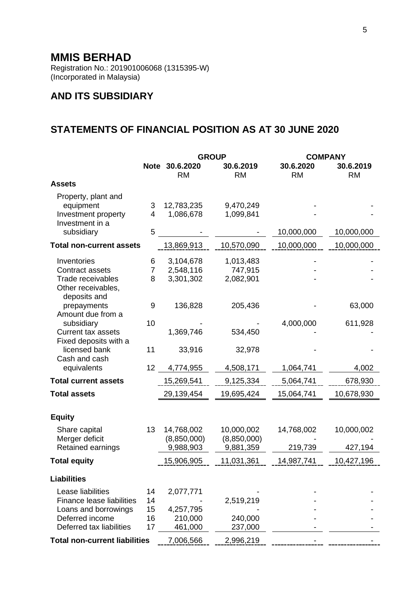Registration No.: 201901006068 (1315395-W) (Incorporated in Malaysia)

# **AND ITS SUBSIDIARY**

# **STATEMENTS OF FINANCIAL POSITION AS AT 30 JUNE 2020**

|                                             |                |                             | <b>GROUP</b>           | <b>COMPANY</b>         |                        |
|---------------------------------------------|----------------|-----------------------------|------------------------|------------------------|------------------------|
|                                             |                | Note 30.6.2020<br><b>RM</b> | 30.6.2019<br><b>RM</b> | 30.6.2020<br><b>RM</b> | 30.6.2019<br><b>RM</b> |
| <b>Assets</b>                               |                |                             |                        |                        |                        |
| Property, plant and                         |                |                             |                        |                        |                        |
| equipment                                   | 3              | 12,783,235                  | 9,470,249              |                        |                        |
| Investment property                         | $\overline{4}$ | 1,086,678                   | 1,099,841              |                        |                        |
| Investment in a<br>subsidiary               | 5              |                             |                        | 10,000,000             | 10,000,000             |
|                                             |                |                             |                        |                        |                        |
| <b>Total non-current assets</b>             |                | 13,869,913                  | 10,570,090             | 10,000,000             | 10,000,000             |
| Inventories                                 | 6              | 3,104,678                   | 1,013,483              |                        |                        |
| <b>Contract assets</b>                      | $\overline{7}$ | 2,548,116                   | 747,915                |                        |                        |
| <b>Trade receivables</b>                    | 8              | 3,301,302                   | 2,082,901              |                        |                        |
| Other receivables,                          |                |                             |                        |                        |                        |
| deposits and<br>prepayments                 | 9              | 136,828                     | 205,436                |                        | 63,000                 |
| Amount due from a                           |                |                             |                        |                        |                        |
| subsidiary                                  | 10             |                             |                        | 4,000,000              | 611,928                |
| <b>Current tax assets</b>                   |                | 1,369,746                   | 534,450                |                        |                        |
| Fixed deposits with a                       |                |                             |                        |                        |                        |
| licensed bank                               | 11             | 33,916                      | 32,978                 |                        |                        |
| Cash and cash<br>equivalents                | 12             | 4,774,955                   | 4,508,171              | 1,064,741              | 4,002                  |
| <b>Total current assets</b>                 |                |                             | 9,125,334              | 5,064,741              | 678,930                |
|                                             |                | 15,269,541                  |                        |                        |                        |
| <b>Total assets</b>                         |                | 29,139,454                  | 19,695,424             | 15,064,741             | 10,678,930             |
|                                             |                |                             |                        |                        |                        |
| <b>Equity</b>                               |                |                             |                        |                        |                        |
| Share capital                               | 13             | 14,768,002                  | 10,000,002             | 14,768,002             | 10,000,002             |
| Merger deficit                              |                | (8,850,000)                 | (8,850,000)            |                        |                        |
| Retained earnings                           |                | 9,988,903                   | 9,881,359              | 219,739                | 427,194                |
| <b>Total equity</b>                         |                | 15,906,905                  | 11,031,361             | 14,987,741             | 10,427,196             |
| <b>Liabilities</b>                          |                |                             |                        |                        |                        |
| Lease liabilities                           | 14             | 2,077,771                   |                        |                        |                        |
| <b>Finance lease liabilities</b>            | 14             |                             | 2,519,219              |                        |                        |
| Loans and borrowings                        | 15             | 4,257,795                   |                        |                        |                        |
| Deferred income<br>Deferred tax liabilities | 16             | 210,000                     | 240,000                |                        |                        |
|                                             | 17             | 461,000                     | 237,000                |                        |                        |
| <b>Total non-current liabilities</b>        |                | 7,006,566                   | 2,996,219              |                        |                        |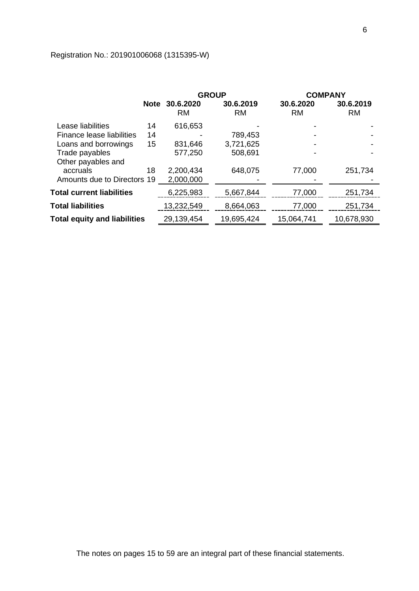# Registration No.: 201901006068 (1315395-W)

|                                     |             | <b>GROUP</b>           |                        | <b>COMPANY</b>         |                        |
|-------------------------------------|-------------|------------------------|------------------------|------------------------|------------------------|
|                                     | <b>Note</b> | 30.6.2020<br><b>RM</b> | 30.6.2019<br><b>RM</b> | 30.6.2020<br><b>RM</b> | 30.6.2019<br><b>RM</b> |
| Lease liabilities                   | 14          | 616,653                |                        |                        |                        |
| Finance lease liabilities           | 14          |                        | 789,453                |                        |                        |
| Loans and borrowings                | 15          | 831,646                | 3,721,625              |                        |                        |
| Trade payables                      |             | 577,250                | 508,691                |                        |                        |
| Other payables and                  |             |                        |                        |                        |                        |
| accruals                            | 18          | 2,200,434              | 648,075                | 77,000                 | 251,734                |
| Amounts due to Directors 19         |             | 2,000,000              |                        |                        |                        |
| <b>Total current liabilities</b>    |             | 6,225,983              | 5,667,844              | 77,000                 | 251,734                |
| <b>Total liabilities</b>            |             | 13,232,549             | 8,664,063              | 77,000                 | 251,734                |
| <b>Total equity and liabilities</b> |             | 29,139,454             | 19,695,424             | 15,064,741             | 10,678,930             |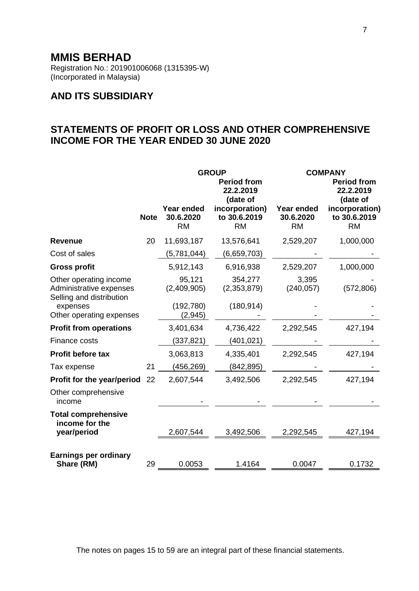Registration No.: 201901006068 (1315395-W) (Incorporated in Malaysia)

# **AND ITS SUBSIDIARY**

# **STATEMENTS OF PROFIT OR LOSS AND OTHER COMPREHENSIVE INCOME FOR THE YEAR ENDED 30 JUNE 2020**

|                                                                               |             | <b>GROUP</b>                         |                                             | <b>COMPANY</b>                       |                                             |
|-------------------------------------------------------------------------------|-------------|--------------------------------------|---------------------------------------------|--------------------------------------|---------------------------------------------|
|                                                                               |             |                                      | <b>Period from</b><br>22.2.2019<br>(date of |                                      | <b>Period from</b><br>22.2.2019<br>(date of |
|                                                                               | <b>Note</b> | Year ended<br>30.6.2020<br><b>RM</b> | incorporation)<br>to 30.6.2019<br><b>RM</b> | Year ended<br>30.6.2020<br><b>RM</b> | incorporation)<br>to 30.6.2019<br><b>RM</b> |
| <b>Revenue</b>                                                                | 20          | 11,693,187                           | 13,576,641                                  | 2,529,207                            | 1,000,000                                   |
| Cost of sales                                                                 |             | (5,781,044)                          | (6,659,703)                                 |                                      |                                             |
| <b>Gross profit</b>                                                           |             | 5,912,143                            | 6,916,938                                   | 2,529,207                            | 1,000,000                                   |
| Other operating income<br>Administrative expenses<br>Selling and distribution |             | 95,121<br>(2,409,905)                | 354,277<br>(2,353,879)                      | 3,395<br>(240, 057)                  | (572, 806)                                  |
| expenses<br>Other operating expenses                                          |             | (192, 780)<br>(2,945)                | (180, 914)                                  |                                      |                                             |
| <b>Profit from operations</b>                                                 |             | 3,401,634                            | 4,736,422                                   | 2,292,545                            | 427,194                                     |
| Finance costs                                                                 |             | (337,821)                            | (401, 021)                                  |                                      |                                             |
| Profit before tax                                                             |             | 3,063,813                            | 4,335,401                                   | 2,292,545                            | 427,194                                     |
| Tax expense                                                                   | 21          | (456,269)                            | (842, 895)                                  |                                      |                                             |
| Profit for the year/period 22                                                 |             | 2,607,544                            | 3,492,506                                   | 2,292,545                            | 427,194                                     |
| Other comprehensive<br>income                                                 |             |                                      |                                             |                                      |                                             |
| <b>Total comprehensive</b><br>income for the                                  |             |                                      |                                             |                                      |                                             |
| year/period                                                                   |             | 2,607,544                            | 3,492,506                                   | 2,292,545                            | 427,194                                     |
| <b>Earnings per ordinary</b><br>Share (RM)                                    | 29          | 0.0053                               | 1.4164                                      | 0.0047                               | 0.1732                                      |

The notes on pages 15 to 59 are an integral part of these financial statements.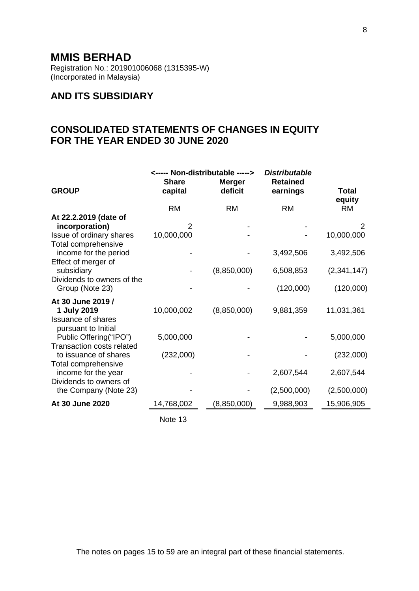Registration No.: 201901006068 (1315395-W) (Incorporated in Malaysia)

# **AND ITS SUBSIDIARY**

# **CONSOLIDATED STATEMENTS OF CHANGES IN EQUITY FOR THE YEAR ENDED 30 JUNE 2020**

|                                                                                   | <----- Non-distributable -----> |                          | <b>Distributable</b>        |                 |  |
|-----------------------------------------------------------------------------------|---------------------------------|--------------------------|-----------------------------|-----------------|--|
| <b>GROUP</b>                                                                      | <b>Share</b><br>capital         | <b>Merger</b><br>deficit | <b>Retained</b><br>earnings | Total<br>equity |  |
|                                                                                   | <b>RM</b>                       | <b>RM</b>                | <b>RM</b>                   | <b>RM</b>       |  |
| At 22.2.2019 (date of<br>incorporation)<br>Issue of ordinary shares               | 2<br>10,000,000                 |                          |                             | 2<br>10,000,000 |  |
| Total comprehensive<br>income for the period                                      |                                 |                          | 3,492,506                   | 3,492,506       |  |
| Effect of merger of<br>subsidiary<br>Dividends to owners of the                   |                                 | (8,850,000)              | 6,508,853                   | (2,341,147)     |  |
| Group (Note 23)                                                                   |                                 |                          | (120,000)                   | (120,000)       |  |
| At 30 June 2019 /<br>1 July 2019<br><b>Issuance of shares</b>                     | 10,000,002                      | (8,850,000)              | 9,881,359                   | 11,031,361      |  |
| pursuant to Initial<br>Public Offering("IPO")<br><b>Transaction costs related</b> | 5,000,000                       |                          |                             | 5,000,000       |  |
| to issuance of shares<br>Total comprehensive                                      | (232,000)                       |                          |                             | (232,000)       |  |
| income for the year<br>Dividends to owners of                                     |                                 |                          | 2,607,544                   | 2,607,544       |  |
| the Company (Note 23)                                                             |                                 |                          | (2,500,000)                 | (2,500,000)     |  |
| At 30 June 2020                                                                   | 14,768,002                      | (8,850,000)              | 9,988,903                   | 15,906,905      |  |
|                                                                                   |                                 |                          |                             |                 |  |

Note 13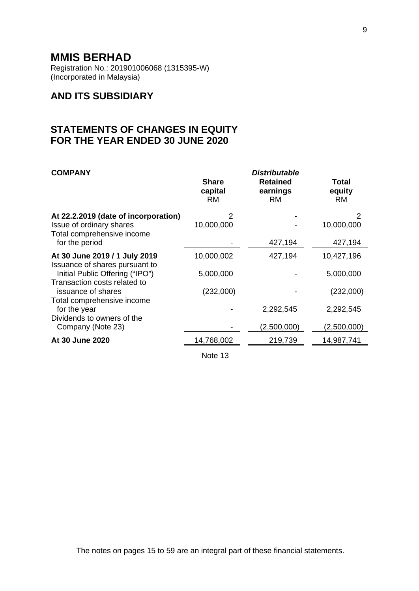Registration No.: 201901006068 (1315395-W) (Incorporated in Malaysia)

# **AND ITS SUBSIDIARY**

# **STATEMENTS OF CHANGES IN EQUITY FOR THE YEAR ENDED 30 JUNE 2020**

| <b>COMPANY</b>                                                                                                   | <b>Share</b><br>capital<br><b>RM</b> | <b>Distributable</b><br><b>Retained</b><br>earnings<br><b>RM</b> | <b>Total</b><br>equity<br><b>RM</b> |
|------------------------------------------------------------------------------------------------------------------|--------------------------------------|------------------------------------------------------------------|-------------------------------------|
| At 22.2.2019 (date of incorporation)<br>Issue of ordinary shares<br>Total comprehensive income<br>for the period | 2<br>10,000,000                      | 427,194                                                          | 2<br>10,000,000<br>427,194          |
| At 30 June 2019 / 1 July 2019                                                                                    | 10,000,002                           | 427,194                                                          | 10,427,196                          |
| Issuance of shares pursuant to<br>Initial Public Offering ("IPO")<br>Transaction costs related to                | 5,000,000                            |                                                                  | 5,000,000                           |
| issuance of shares                                                                                               | (232,000)                            |                                                                  | (232,000)                           |
| Total comprehensive income<br>for the year                                                                       |                                      | 2,292,545                                                        | 2,292,545                           |
| Dividends to owners of the<br>Company (Note 23)                                                                  |                                      | (2,500,000)                                                      | (2,500,000)                         |
| At 30 June 2020                                                                                                  | 14,768,002                           | 219,739                                                          | 14,987,741                          |
|                                                                                                                  |                                      |                                                                  |                                     |

Note 13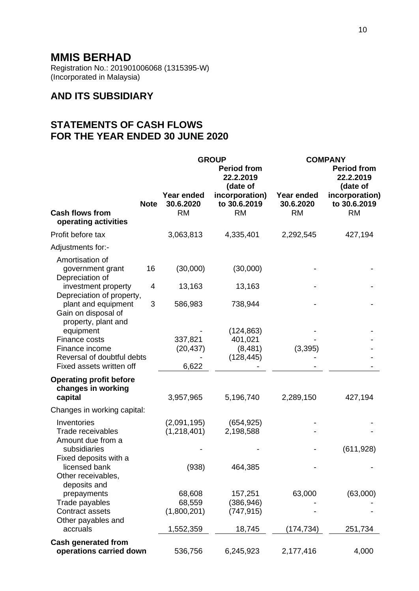Registration No.: 201901006068 (1315395-W) (Incorporated in Malaysia)

# **AND ITS SUBSIDIARY**

# **STATEMENTS OF CASH FLOWS FOR THE YEAR ENDED 30 JUNE 2020**

|                                                                     |             | <b>GROUP</b>                         |                                             | <b>COMPANY</b>                       |                                             |
|---------------------------------------------------------------------|-------------|--------------------------------------|---------------------------------------------|--------------------------------------|---------------------------------------------|
|                                                                     |             |                                      | <b>Period from</b><br>22.2.2019<br>(date of |                                      | <b>Period from</b><br>22.2.2019<br>(date of |
| <b>Cash flows from</b>                                              | <b>Note</b> | Year ended<br>30.6.2020<br><b>RM</b> | incorporation)<br>to 30.6.2019<br><b>RM</b> | Year ended<br>30.6.2020<br><b>RM</b> | incorporation)<br>to 30.6.2019<br><b>RM</b> |
| operating activities                                                |             |                                      |                                             |                                      |                                             |
| Profit before tax                                                   |             | 3,063,813                            | 4,335,401                                   | 2,292,545                            | 427,194                                     |
| Adjustments for:-                                                   |             |                                      |                                             |                                      |                                             |
| Amortisation of                                                     |             |                                      |                                             |                                      |                                             |
| government grant                                                    | 16          | (30,000)                             | (30,000)                                    |                                      |                                             |
| Depreciation of<br>investment property<br>Depreciation of property, | 4           | 13,163                               | 13,163                                      |                                      |                                             |
| plant and equipment<br>Gain on disposal of                          | 3           | 586,983                              | 738,944                                     |                                      |                                             |
| property, plant and                                                 |             |                                      |                                             |                                      |                                             |
| equipment                                                           |             |                                      | (124, 863)                                  |                                      |                                             |
| Finance costs<br>Finance income                                     |             | 337,821<br>(20, 437)                 | 401,021<br>(8,481)                          | (3, 395)                             |                                             |
| Reversal of doubtful debts                                          |             |                                      | (128, 445)                                  |                                      |                                             |
| Fixed assets written off                                            |             | 6,622                                |                                             |                                      |                                             |
| <b>Operating profit before</b>                                      |             |                                      |                                             |                                      |                                             |
| changes in working                                                  |             |                                      |                                             |                                      |                                             |
| capital                                                             |             | 3,957,965                            | 5,196,740                                   | 2,289,150                            | 427,194                                     |
| Changes in working capital:                                         |             |                                      |                                             |                                      |                                             |
| Inventories                                                         |             | (2,091,195)                          | (654, 925)                                  |                                      |                                             |
| Trade receivables                                                   |             | (1, 218, 401)                        | 2,198,588                                   |                                      |                                             |
| Amount due from a                                                   |             |                                      |                                             |                                      |                                             |
| subsidiaries<br>Fixed deposits with a                               |             |                                      |                                             |                                      | (611, 928)                                  |
| licensed bank                                                       |             | (938)                                | 464,385                                     |                                      |                                             |
| Other receivables,                                                  |             |                                      |                                             |                                      |                                             |
| deposits and                                                        |             |                                      |                                             |                                      |                                             |
| prepayments                                                         |             | 68,608                               | 157,251                                     | 63,000                               | (63,000)                                    |
| Trade payables                                                      |             | 68,559                               | (386, 946)                                  |                                      |                                             |
| Contract assets                                                     |             | (1,800,201)                          | (747, 915)                                  |                                      |                                             |
| Other payables and                                                  |             |                                      |                                             |                                      |                                             |
| accruals                                                            |             | 1,552,359                            | 18,745                                      | (174,734)                            | 251,734                                     |
| <b>Cash generated from</b>                                          |             |                                      |                                             |                                      |                                             |
| operations carried down                                             |             | 536,756                              | 6,245,923                                   | 2,177,416                            | 4,000                                       |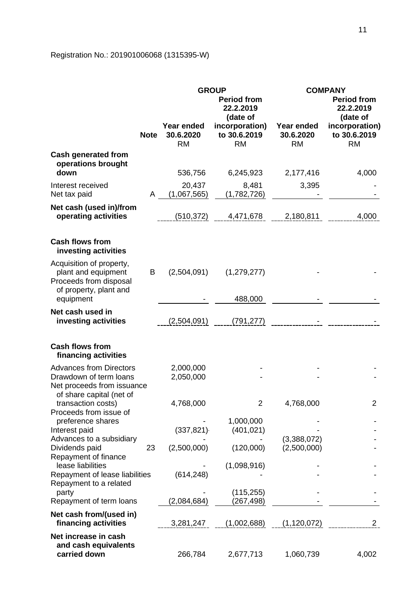# Registration No.: 201901006068 (1315395-W)

|                                                                                                     |             | <b>GROUP</b><br><b>Period from</b><br>22.2.2019<br>(date of |                                             |                                      | <b>COMPANY</b><br><b>Period from</b><br>22.2.2019<br>(date of |
|-----------------------------------------------------------------------------------------------------|-------------|-------------------------------------------------------------|---------------------------------------------|--------------------------------------|---------------------------------------------------------------|
|                                                                                                     | <b>Note</b> | <b>Year ended</b><br>30.6.2020<br><b>RM</b>                 | incorporation)<br>to 30.6.2019<br><b>RM</b> | Year ended<br>30.6.2020<br><b>RM</b> | incorporation)<br>to 30.6.2019<br><b>RM</b>                   |
| <b>Cash generated from</b><br>operations brought<br>down                                            |             | 536,756                                                     | 6,245,923                                   | 2,177,416                            | 4,000                                                         |
| Interest received<br>Net tax paid                                                                   | A           | 20,437<br>(1,067,565)                                       | 8,481<br>(1,782,726)                        | 3,395                                |                                                               |
| Net cash (used in)/from<br>operating activities                                                     |             | (510,372)                                                   | 4,471,678                                   | 2,180,811                            | 4,000                                                         |
| <b>Cash flows from</b><br>investing activities                                                      |             |                                                             |                                             |                                      |                                                               |
| Acquisition of property,<br>plant and equipment<br>Proceeds from disposal<br>of property, plant and | B           | (2,504,091)                                                 | (1,279,277)                                 |                                      |                                                               |
| equipment                                                                                           |             |                                                             | 488,000                                     |                                      |                                                               |
| Net cash used in<br>investing activities                                                            |             | (2,504,091)                                                 | (791, 277)                                  |                                      |                                                               |
| <b>Cash flows from</b><br>financing activities                                                      |             |                                                             |                                             |                                      |                                                               |
| <b>Advances from Directors</b><br>Drawdown of term loans<br>Net proceeds from issuance              |             | 2,000,000<br>2,050,000                                      |                                             |                                      |                                                               |
| of share capital (net of<br>transaction costs)<br>Proceeds from issue of                            |             | 4,768,000                                                   | $\overline{2}$                              | 4,768,000                            | $\overline{2}$                                                |
| preference shares<br>Interest paid                                                                  |             | (337, 821)                                                  | 1,000,000<br>(401, 021)                     |                                      |                                                               |
| Advances to a subsidiary<br>Dividends paid<br>Repayment of finance                                  | 23          | (2,500,000)                                                 | (120,000)                                   | (3,388,072)<br>(2,500,000)           |                                                               |
| lease liabilities<br>Repayment of lease liabilities                                                 |             | (614, 248)                                                  | (1,098,916)                                 |                                      |                                                               |
| Repayment to a related<br>party<br>Repayment of term loans                                          |             | (2,084,684)                                                 | (115, 255)<br>(267, 498)                    |                                      |                                                               |
| Net cash from/(used in)<br>financing activities                                                     |             | 3,281,247                                                   | (1,002,688)                                 | (1, 120, 072)                        | $\mathbf{2}$                                                  |
| Net increase in cash<br>and cash equivalents<br>carried down                                        |             | 266,784                                                     | 2,677,713                                   | 1,060,739                            | 4,002                                                         |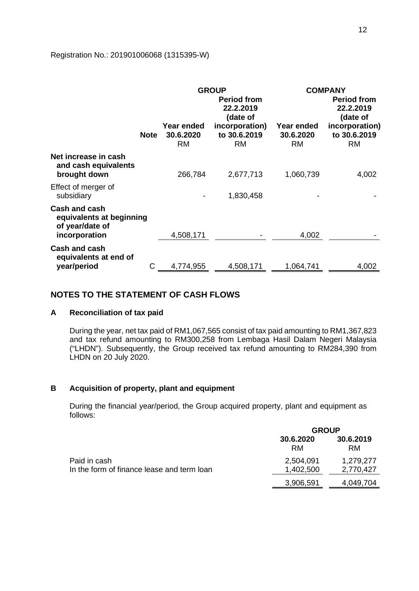### Registration No.: 201901006068 (1315395-W)

|                                                                               | <b>Note</b> | Year ended<br>30.6.2020<br><b>RM</b> | <b>GROUP</b><br><b>Period from</b><br>22.2.2019<br>(date of<br>incorporation)<br>to 30.6.2019<br><b>RM</b> | Year ended<br>30.6.2020<br><b>RM</b> | <b>COMPANY</b><br><b>Period from</b><br>22.2.2019<br>(date of<br>incorporation)<br>to 30.6.2019<br><b>RM</b> |
|-------------------------------------------------------------------------------|-------------|--------------------------------------|------------------------------------------------------------------------------------------------------------|--------------------------------------|--------------------------------------------------------------------------------------------------------------|
| Net increase in cash<br>and cash equivalents<br>brought down                  |             | 266,784                              | 2,677,713                                                                                                  | 1,060,739                            | 4,002                                                                                                        |
| Effect of merger of<br>subsidiary                                             |             |                                      | 1,830,458                                                                                                  |                                      |                                                                                                              |
| Cash and cash<br>equivalents at beginning<br>of year/date of<br>incorporation |             | 4,508,171                            |                                                                                                            | 4,002                                |                                                                                                              |
| <b>Cash and cash</b><br>equivalents at end of<br>year/period                  | С           | 4,774,955                            | 4,508,171                                                                                                  | 1,064,741                            | 4,002                                                                                                        |

## **NOTES TO THE STATEMENT OF CASH FLOWS**

### **A Reconciliation of tax paid**

During the year, net tax paid of RM1,067,565 consist of tax paid amounting to RM1,367,823 and tax refund amounting to RM300,258 from Lembaga Hasil Dalam Negeri Malaysia ("LHDN"). Subsequently, the Group received tax refund amounting to RM284,390 from LHDN on 20 July 2020.

## **B Acquisition of property, plant and equipment**

During the financial year/period, the Group acquired property, plant and equipment as follows:

|                                            | <b>GROUP</b>    |                 |  |
|--------------------------------------------|-----------------|-----------------|--|
|                                            | 30.6.2020<br>RM | 30.6.2019<br>RM |  |
| Paid in cash                               | 2,504,091       | 1,279,277       |  |
| In the form of finance lease and term loan | 1,402,500       | 2,770,427       |  |
|                                            | 3,906,591       | 4,049,704       |  |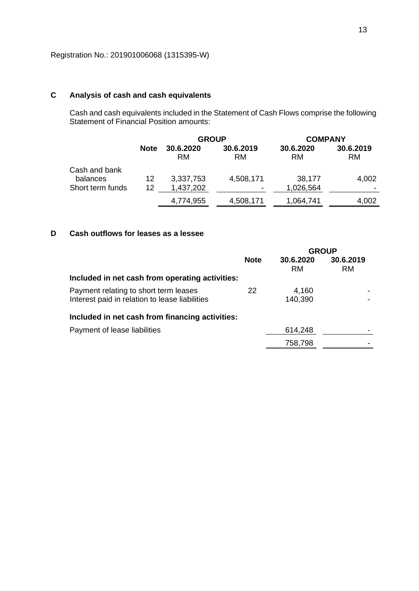## **C Analysis of cash and cash equivalents**

Cash and cash equivalents included in the Statement of Cash Flows comprise the following Statement of Financial Position amounts:

|                                               |             | <b>GROUP</b>           |                                       | <b>COMPANY</b>         |                        |  |
|-----------------------------------------------|-------------|------------------------|---------------------------------------|------------------------|------------------------|--|
|                                               | <b>Note</b> | 30.6.2020<br>RM        | 30.6.2019<br><b>RM</b>                | 30.6.2020<br><b>RM</b> | 30.6.2019<br><b>RM</b> |  |
| Cash and bank<br>balances<br>Short term funds | 12<br>12    | 3,337,753<br>1,437,202 | 4,508,171<br>$\overline{\phantom{a}}$ | 38,177<br>1,026,564    | 4,002                  |  |
|                                               |             | 4,774,955              | 4,508,171                             | 1,064,741              | 4,002                  |  |

## **D Cash outflows for leases as a lessee**

|                                                                                         |             | <b>GROUP</b>     |                        |
|-----------------------------------------------------------------------------------------|-------------|------------------|------------------------|
|                                                                                         | <b>Note</b> | 30.6.2020<br>RM  | 30.6.2019<br><b>RM</b> |
| Included in net cash from operating activities:                                         |             |                  |                        |
| Payment relating to short term leases<br>Interest paid in relation to lease liabilities | 22          | 4,160<br>140,390 |                        |
| Included in net cash from financing activities:                                         |             |                  |                        |
| Payment of lease liabilities                                                            |             | 614,248          |                        |
|                                                                                         |             | 758,798          |                        |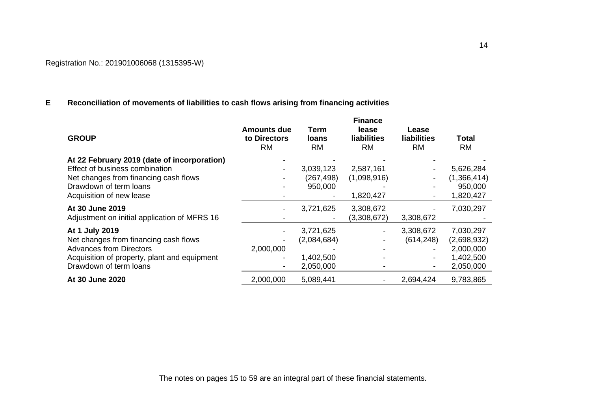## **E Reconciliation of movements of liabilities to cash flows arising from financing activities**

| <b>GROUP</b>                                 | <b>Amounts due</b><br>to Directors<br><b>RM</b> | Term<br><b>loans</b><br><b>RM</b> | <b>Finance</b><br>lease<br><b>liabilities</b><br><b>RM</b> | Lease<br><b>liabilities</b><br><b>RM</b> | Total<br><b>RM</b> |
|----------------------------------------------|-------------------------------------------------|-----------------------------------|------------------------------------------------------------|------------------------------------------|--------------------|
| At 22 February 2019 (date of incorporation)  |                                                 |                                   |                                                            |                                          |                    |
| Effect of business combination               |                                                 | 3,039,123                         | 2,587,161                                                  |                                          | 5,626,284          |
| Net changes from financing cash flows        |                                                 | (267, 498)                        | (1,098,916)                                                |                                          | (1,366,414)        |
| Drawdown of term loans                       |                                                 | 950,000                           |                                                            |                                          | 950,000            |
| Acquisition of new lease                     |                                                 |                                   | 1,820,427                                                  |                                          | 1,820,427          |
| At 30 June 2019                              |                                                 | 3,721,625                         | 3,308,672                                                  |                                          | 7,030,297          |
| Adjustment on initial application of MFRS 16 |                                                 |                                   | (3,308,672)                                                | 3,308,672                                |                    |
| At 1 July 2019                               | $\overline{\phantom{a}}$                        | 3,721,625                         |                                                            | 3,308,672                                | 7,030,297          |
| Net changes from financing cash flows        | -                                               | (2,084,684)                       |                                                            | (614, 248)                               | (2,698,932)        |
| <b>Advances from Directors</b>               | 2,000,000                                       |                                   |                                                            |                                          | 2,000,000          |
| Acquisition of property, plant and equipment | $\overline{\phantom{a}}$                        | 1,402,500                         |                                                            |                                          | 1,402,500          |
| Drawdown of term loans                       | $\overline{\phantom{0}}$                        | 2,050,000                         |                                                            | $\overline{\phantom{a}}$                 | 2,050,000          |
| At 30 June 2020                              | 2,000,000                                       | 5,089,441                         |                                                            | 2,694,424                                | 9,783,865          |

The notes on pages 15 to 59 are an integral part of these financial statements.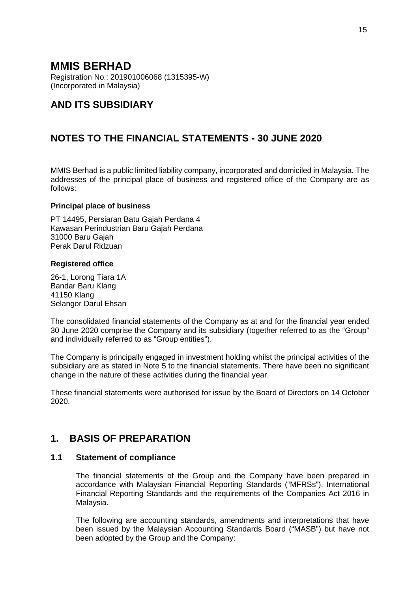Registration No.: 201901006068 (1315395-W) (Incorporated in Malaysia)

# **AND ITS SUBSIDIARY**

# **NOTES TO THE FINANCIAL STATEMENTS - 30 JUNE 2020**

MMIS Berhad is a public limited liability company, incorporated and domiciled in Malaysia. The addresses of the principal place of business and registered office of the Company are as follows:

### **Principal place of business**

PT 14495, Persiaran Batu Gajah Perdana 4 Kawasan Perindustrian Baru Gajah Perdana 31000 Baru Gajah Perak Darul Ridzuan

### **Registered office**

26-1, Lorong Tiara 1A Bandar Baru Klang 41150 Klang Selangor Darul Ehsan

The consolidated financial statements of the Company as at and for the financial year ended 30 June 2020 comprise the Company and its subsidiary (together referred to as the "Group" and individually referred to as "Group entities").

The Company is principally engaged in investment holding whilst the principal activities of the subsidiary are as stated in Note 5 to the financial statements. There have been no significant change in the nature of these activities during the financial year.

These financial statements were authorised for issue by the Board of Directors on 14 October 2020.

# **1. BASIS OF PREPARATION**

### **1.1 Statement of compliance**

The financial statements of the Group and the Company have been prepared in accordance with Malaysian Financial Reporting Standards ("MFRSs"), International Financial Reporting Standards and the requirements of the Companies Act 2016 in Malaysia.

The following are accounting standards, amendments and interpretations that have been issued by the Malaysian Accounting Standards Board ("MASB") but have not been adopted by the Group and the Company: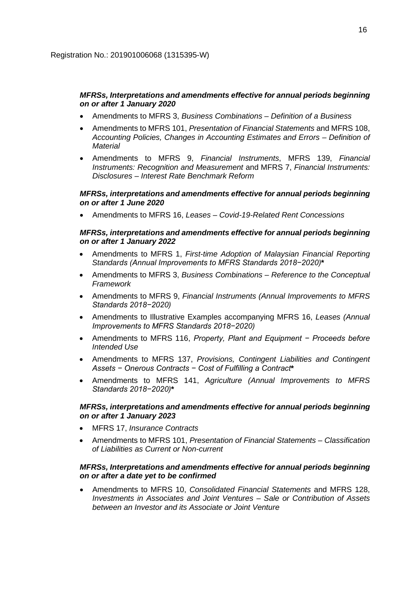### *MFRSs, Interpretations and amendments effective for annual periods beginning on or after 1 January 2020*

- Amendments to MFRS 3, *Business Combinations – Definition of a Business*
- Amendments to MFRS 101, *Presentation of Financial Statements* and MFRS 108, *Accounting Policies, Changes in Accounting Estimates and Errors – Definition of Material*
- Amendments to MFRS 9, *Financial Instruments*, MFRS 139, *Financial Instruments: Recognition and Measurement* and MFRS 7, *Financial Instruments: Disclosures – Interest Rate Benchmark Reform*

### *MFRSs, interpretations and amendments effective for annual periods beginning on or after 1 June 2020*

• Amendments to MFRS 16, *Leases – Covid-19-Related Rent Concessions*

### *MFRSs, interpretations and amendments effective for annual periods beginning on or after 1 January 2022*

- Amendments to MFRS 1, *First-time Adoption of Malaysian Financial Reporting Standards (Annual Improvements to MFRS Standards 2018−2020)***\***
- Amendments to MFRS 3, *Business Combinations – Reference to the Conceptual Framework*
- Amendments to MFRS 9, *Financial Instruments (Annual Improvements to MFRS Standards 2018−2020)*
- Amendments to Illustrative Examples accompanying MFRS 16, *Leases (Annual Improvements to MFRS Standards 2018−2020)*
- Amendments to MFRS 116, *Property, Plant and Equipment − Proceeds before Intended Use*
- Amendments to MFRS 137, *Provisions, Contingent Liabilities and Contingent Assets − Onerous Contracts − Cost of Fulfilling a Contract***\***
- Amendments to MFRS 141, *Agriculture (Annual Improvements to MFRS Standards 2018−2020)***\***

### *MFRSs, interpretations and amendments effective for annual periods beginning on or after 1 January 2023*

- MFRS 17, *Insurance Contracts*
- Amendments to MFRS 101, *Presentation of Financial Statements – Classification of Liabilities as Current or Non-current*

### *MFRSs, Interpretations and amendments effective for annual periods beginning on or after a date yet to be confirmed*

• Amendments to MFRS 10, *Consolidated Financial Statements* and MFRS 128, *Investments in Associates and Joint Ventures – Sale or Contribution of Assets between an Investor and its Associate or Joint Venture*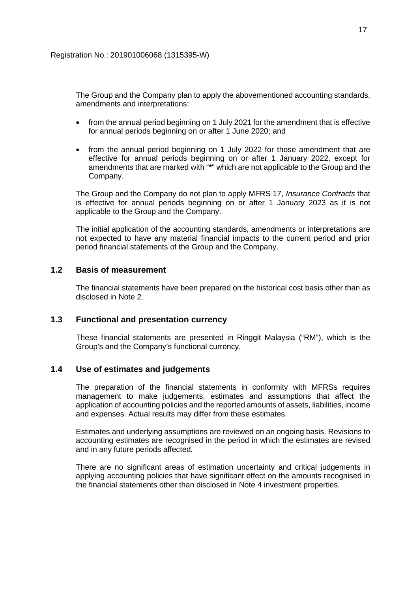The Group and the Company plan to apply the abovementioned accounting standards, amendments and interpretations:

- from the annual period beginning on 1 July 2021 for the amendment that is effective for annual periods beginning on or after 1 June 2020; and
- from the annual period beginning on 1 July 2022 for those amendment that are effective for annual periods beginning on or after 1 January 2022, except for amendments that are marked with "**\***" which are not applicable to the Group and the Company.

The Group and the Company do not plan to apply MFRS 17, *Insurance Contracts* that is effective for annual periods beginning on or after 1 January 2023 as it is not applicable to the Group and the Company.

The initial application of the accounting standards, amendments or interpretations are not expected to have any material financial impacts to the current period and prior period financial statements of the Group and the Company.

## **1.2 Basis of measurement**

The financial statements have been prepared on the historical cost basis other than as disclosed in Note 2.

## **1.3 Functional and presentation currency**

These financial statements are presented in Ringgit Malaysia ("RM"), which is the Group's and the Company's functional currency.

### **1.4 Use of estimates and judgements**

The preparation of the financial statements in conformity with MFRSs requires management to make judgements, estimates and assumptions that affect the application of accounting policies and the reported amounts of assets, liabilities, income and expenses. Actual results may differ from these estimates.

Estimates and underlying assumptions are reviewed on an ongoing basis. Revisions to accounting estimates are recognised in the period in which the estimates are revised and in any future periods affected.

There are no significant areas of estimation uncertainty and critical judgements in applying accounting policies that have significant effect on the amounts recognised in the financial statements other than disclosed in Note 4 investment properties.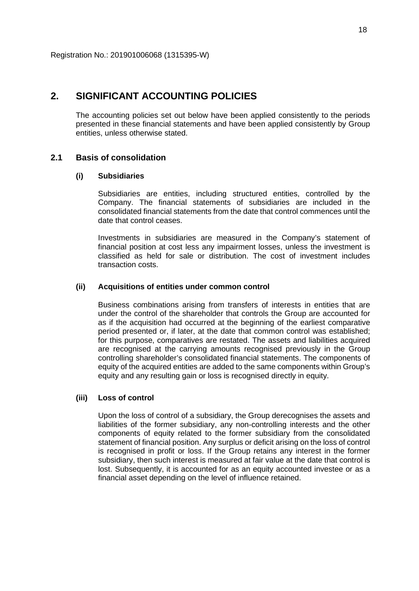## **2. SIGNIFICANT ACCOUNTING POLICIES**

The accounting policies set out below have been applied consistently to the periods presented in these financial statements and have been applied consistently by Group entities, unless otherwise stated.

## **2.1 Basis of consolidation**

#### **(i) Subsidiaries**

Subsidiaries are entities, including structured entities, controlled by the Company. The financial statements of subsidiaries are included in the consolidated financial statements from the date that control commences until the date that control ceases.

Investments in subsidiaries are measured in the Company's statement of financial position at cost less any impairment losses, unless the investment is classified as held for sale or distribution. The cost of investment includes transaction costs.

#### **(ii) Acquisitions of entities under common control**

Business combinations arising from transfers of interests in entities that are under the control of the shareholder that controls the Group are accounted for as if the acquisition had occurred at the beginning of the earliest comparative period presented or, if later, at the date that common control was established; for this purpose, comparatives are restated. The assets and liabilities acquired are recognised at the carrying amounts recognised previously in the Group controlling shareholder's consolidated financial statements. The components of equity of the acquired entities are added to the same components within Group's equity and any resulting gain or loss is recognised directly in equity.

### **(iii) Loss of control**

Upon the loss of control of a subsidiary, the Group derecognises the assets and liabilities of the former subsidiary, any non-controlling interests and the other components of equity related to the former subsidiary from the consolidated statement of financial position. Any surplus or deficit arising on the loss of control is recognised in profit or loss. If the Group retains any interest in the former subsidiary, then such interest is measured at fair value at the date that control is lost. Subsequently, it is accounted for as an equity accounted investee or as a financial asset depending on the level of influence retained.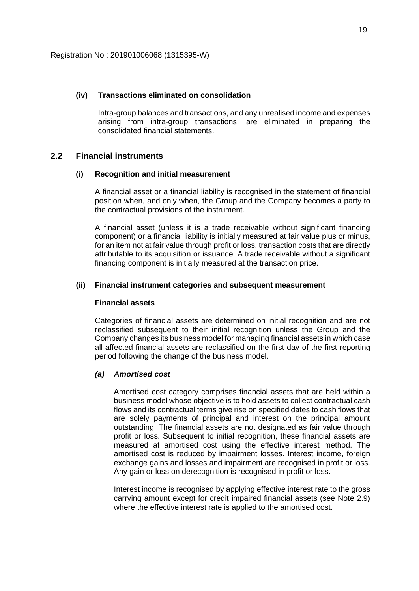### **(iv) Transactions eliminated on consolidation**

Intra-group balances and transactions, and any unrealised income and expenses arising from intra-group transactions, are eliminated in preparing the consolidated financial statements.

#### **2.2 Financial instruments**

#### **(i) Recognition and initial measurement**

A financial asset or a financial liability is recognised in the statement of financial position when, and only when, the Group and the Company becomes a party to the contractual provisions of the instrument.

A financial asset (unless it is a trade receivable without significant financing component) or a financial liability is initially measured at fair value plus or minus, for an item not at fair value through profit or loss, transaction costs that are directly attributable to its acquisition or issuance. A trade receivable without a significant financing component is initially measured at the transaction price.

#### **(ii) Financial instrument categories and subsequent measurement**

#### **Financial assets**

Categories of financial assets are determined on initial recognition and are not reclassified subsequent to their initial recognition unless the Group and the Company changes its business model for managing financial assets in which case all affected financial assets are reclassified on the first day of the first reporting period following the change of the business model.

### *(a) Amortised cost*

Amortised cost category comprises financial assets that are held within a business model whose objective is to hold assets to collect contractual cash flows and its contractual terms give rise on specified dates to cash flows that are solely payments of principal and interest on the principal amount outstanding. The financial assets are not designated as fair value through profit or loss. Subsequent to initial recognition, these financial assets are measured at amortised cost using the effective interest method. The amortised cost is reduced by impairment losses. Interest income, foreign exchange gains and losses and impairment are recognised in profit or loss. Any gain or loss on derecognition is recognised in profit or loss.

Interest income is recognised by applying effective interest rate to the gross carrying amount except for credit impaired financial assets (see Note 2.9) where the effective interest rate is applied to the amortised cost.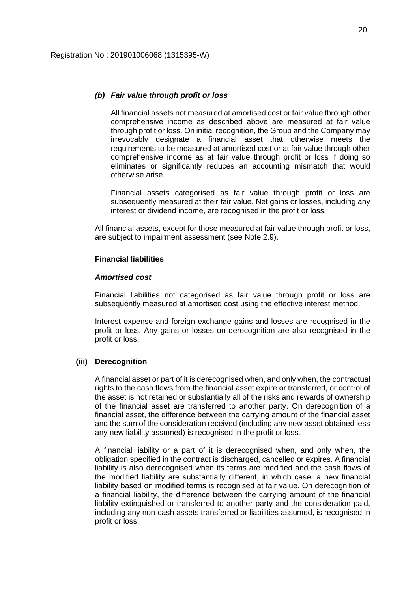#### *(b) Fair value through profit or loss*

All financial assets not measured at amortised cost or fair value through other comprehensive income as described above are measured at fair value through profit or loss. On initial recognition, the Group and the Company may irrevocably designate a financial asset that otherwise meets the requirements to be measured at amortised cost or at fair value through other comprehensive income as at fair value through profit or loss if doing so eliminates or significantly reduces an accounting mismatch that would otherwise arise.

Financial assets categorised as fair value through profit or loss are subsequently measured at their fair value. Net gains or losses, including any interest or dividend income, are recognised in the profit or loss.

All financial assets, except for those measured at fair value through profit or loss, are subject to impairment assessment (see Note 2.9).

### **Financial liabilities**

#### *Amortised cost*

Financial liabilities not categorised as fair value through profit or loss are subsequently measured at amortised cost using the effective interest method.

Interest expense and foreign exchange gains and losses are recognised in the profit or loss. Any gains or losses on derecognition are also recognised in the profit or loss.

### **(iii) Derecognition**

A financial asset or part of it is derecognised when, and only when, the contractual rights to the cash flows from the financial asset expire or transferred, or control of the asset is not retained or substantially all of the risks and rewards of ownership of the financial asset are transferred to another party. On derecognition of a financial asset, the difference between the carrying amount of the financial asset and the sum of the consideration received (including any new asset obtained less any new liability assumed) is recognised in the profit or loss.

A financial liability or a part of it is derecognised when, and only when, the obligation specified in the contract is discharged, cancelled or expires. A financial liability is also derecognised when its terms are modified and the cash flows of the modified liability are substantially different, in which case, a new financial liability based on modified terms is recognised at fair value. On derecognition of a financial liability, the difference between the carrying amount of the financial liability extinguished or transferred to another party and the consideration paid, including any non-cash assets transferred or liabilities assumed, is recognised in profit or loss.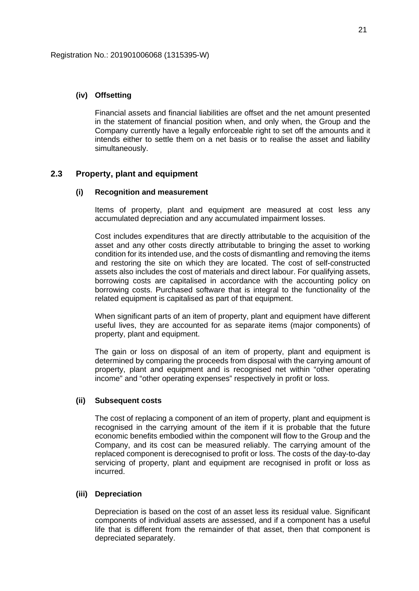### **(iv) Offsetting**

Financial assets and financial liabilities are offset and the net amount presented in the statement of financial position when, and only when, the Group and the Company currently have a legally enforceable right to set off the amounts and it intends either to settle them on a net basis or to realise the asset and liability simultaneously.

### **2.3 Property, plant and equipment**

#### **(i) Recognition and measurement**

Items of property, plant and equipment are measured at cost less any accumulated depreciation and any accumulated impairment losses.

Cost includes expenditures that are directly attributable to the acquisition of the asset and any other costs directly attributable to bringing the asset to working condition for its intended use, and the costs of dismantling and removing the items and restoring the site on which they are located. The cost of self-constructed assets also includes the cost of materials and direct labour. For qualifying assets, borrowing costs are capitalised in accordance with the accounting policy on borrowing costs. Purchased software that is integral to the functionality of the related equipment is capitalised as part of that equipment.

When significant parts of an item of property, plant and equipment have different useful lives, they are accounted for as separate items (major components) of property, plant and equipment.

The gain or loss on disposal of an item of property, plant and equipment is determined by comparing the proceeds from disposal with the carrying amount of property, plant and equipment and is recognised net within "other operating income" and "other operating expenses" respectively in profit or loss.

### **(ii) Subsequent costs**

The cost of replacing a component of an item of property, plant and equipment is recognised in the carrying amount of the item if it is probable that the future economic benefits embodied within the component will flow to the Group and the Company, and its cost can be measured reliably. The carrying amount of the replaced component is derecognised to profit or loss. The costs of the day-to-day servicing of property, plant and equipment are recognised in profit or loss as incurred.

#### **(iii) Depreciation**

Depreciation is based on the cost of an asset less its residual value. Significant components of individual assets are assessed, and if a component has a useful life that is different from the remainder of that asset, then that component is depreciated separately.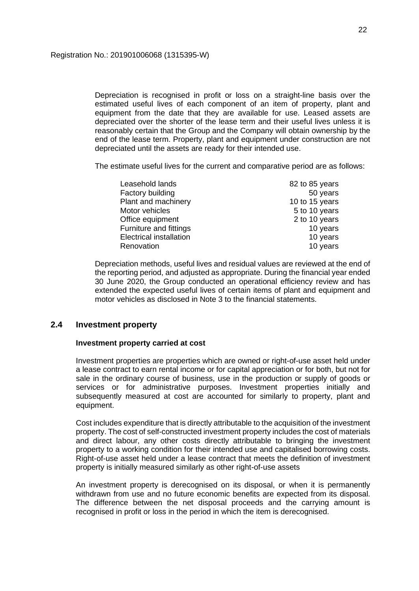Depreciation is recognised in profit or loss on a straight-line basis over the estimated useful lives of each component of an item of property, plant and equipment from the date that they are available for use. Leased assets are depreciated over the shorter of the lease term and their useful lives unless it is reasonably certain that the Group and the Company will obtain ownership by the end of the lease term. Property, plant and equipment under construction are not depreciated until the assets are ready for their intended use.

The estimate useful lives for the current and comparative period are as follows:

| Leasehold lands                | 82 to 85 years |
|--------------------------------|----------------|
| Factory building               | 50 years       |
| Plant and machinery            | 10 to 15 years |
| Motor vehicles                 | 5 to 10 years  |
| Office equipment               | 2 to 10 years  |
| Furniture and fittings         | 10 years       |
| <b>Electrical installation</b> | 10 years       |
| Renovation                     | 10 years       |

Depreciation methods, useful lives and residual values are reviewed at the end of the reporting period, and adjusted as appropriate. During the financial year ended 30 June 2020, the Group conducted an operational efficiency review and has extended the expected useful lives of certain items of plant and equipment and motor vehicles as disclosed in Note 3 to the financial statements.

### **2.4 Investment property**

### **Investment property carried at cost**

Investment properties are properties which are owned or right-of-use asset held under a lease contract to earn rental income or for capital appreciation or for both, but not for sale in the ordinary course of business, use in the production or supply of goods or services or for administrative purposes. Investment properties initially and subsequently measured at cost are accounted for similarly to property, plant and equipment.

Cost includes expenditure that is directly attributable to the acquisition of the investment property. The cost of self-constructed investment property includes the cost of materials and direct labour, any other costs directly attributable to bringing the investment property to a working condition for their intended use and capitalised borrowing costs. Right-of-use asset held under a lease contract that meets the definition of investment property is initially measured similarly as other right-of-use assets

An investment property is derecognised on its disposal, or when it is permanently withdrawn from use and no future economic benefits are expected from its disposal. The difference between the net disposal proceeds and the carrying amount is recognised in profit or loss in the period in which the item is derecognised.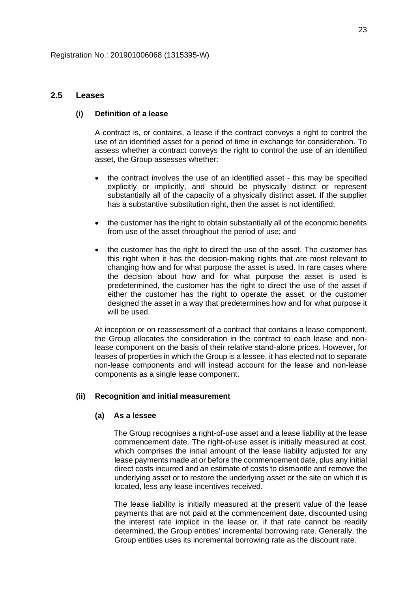### **2.5 Leases**

### **(i) Definition of a lease**

A contract is, or contains, a lease if the contract conveys a right to control the use of an identified asset for a period of time in exchange for consideration. To assess whether a contract conveys the right to control the use of an identified asset, the Group assesses whether:

- the contract involves the use of an identified asset this may be specified explicitly or implicitly, and should be physically distinct or represent substantially all of the capacity of a physically distinct asset. If the supplier has a substantive substitution right, then the asset is not identified;
- the customer has the right to obtain substantially all of the economic benefits from use of the asset throughout the period of use; and
- the customer has the right to direct the use of the asset. The customer has this right when it has the decision-making rights that are most relevant to changing how and for what purpose the asset is used. In rare cases where the decision about how and for what purpose the asset is used is predetermined, the customer has the right to direct the use of the asset if either the customer has the right to operate the asset; or the customer designed the asset in a way that predetermines how and for what purpose it will be used.

At inception or on reassessment of a contract that contains a lease component, the Group allocates the consideration in the contract to each lease and nonlease component on the basis of their relative stand-alone prices. However, for leases of properties in which the Group is a lessee, it has elected not to separate non-lease components and will instead account for the lease and non-lease components as a single lease component.

### **(ii) Recognition and initial measurement**

#### **(a) As a lessee**

The Group recognises a right-of-use asset and a lease liability at the lease commencement date. The right-of-use asset is initially measured at cost, which comprises the initial amount of the lease liability adjusted for any lease payments made at or before the commencement date, plus any initial direct costs incurred and an estimate of costs to dismantle and remove the underlying asset or to restore the underlying asset or the site on which it is located, less any lease incentives received.

The lease liability is initially measured at the present value of the lease payments that are not paid at the commencement date, discounted using the interest rate implicit in the lease or, if that rate cannot be readily determined, the Group entities' incremental borrowing rate. Generally, the Group entities uses its incremental borrowing rate as the discount rate.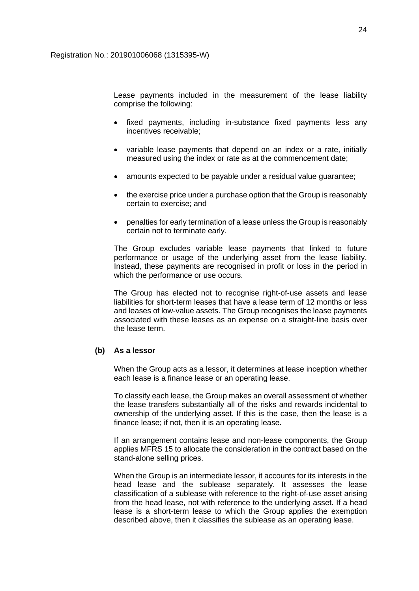Lease payments included in the measurement of the lease liability comprise the following:

- fixed payments, including in-substance fixed payments less any incentives receivable;
- variable lease payments that depend on an index or a rate, initially measured using the index or rate as at the commencement date;
- amounts expected to be payable under a residual value guarantee;
- the exercise price under a purchase option that the Group is reasonably certain to exercise; and
- penalties for early termination of a lease unless the Group is reasonably certain not to terminate early.

The Group excludes variable lease payments that linked to future performance or usage of the underlying asset from the lease liability. Instead, these payments are recognised in profit or loss in the period in which the performance or use occurs.

The Group has elected not to recognise right-of-use assets and lease liabilities for short-term leases that have a lease term of 12 months or less and leases of low-value assets. The Group recognises the lease payments associated with these leases as an expense on a straight-line basis over the lease term.

### **(b) As a lessor**

When the Group acts as a lessor, it determines at lease inception whether each lease is a finance lease or an operating lease.

To classify each lease, the Group makes an overall assessment of whether the lease transfers substantially all of the risks and rewards incidental to ownership of the underlying asset. If this is the case, then the lease is a finance lease; if not, then it is an operating lease.

If an arrangement contains lease and non-lease components, the Group applies MFRS 15 to allocate the consideration in the contract based on the stand-alone selling prices.

When the Group is an intermediate lessor, it accounts for its interests in the head lease and the sublease separately. It assesses the lease classification of a sublease with reference to the right-of-use asset arising from the head lease, not with reference to the underlying asset. If a head lease is a short-term lease to which the Group applies the exemption described above, then it classifies the sublease as an operating lease.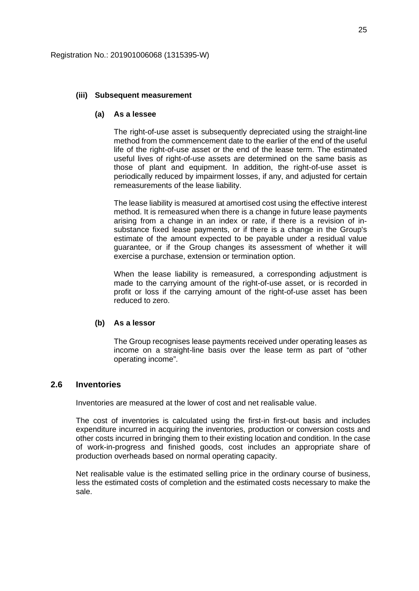#### **(iii) Subsequent measurement**

#### **(a) As a lessee**

The right-of-use asset is subsequently depreciated using the straight-line method from the commencement date to the earlier of the end of the useful life of the right-of-use asset or the end of the lease term. The estimated useful lives of right-of-use assets are determined on the same basis as those of plant and equipment. In addition, the right-of-use asset is periodically reduced by impairment losses, if any, and adjusted for certain remeasurements of the lease liability.

The lease liability is measured at amortised cost using the effective interest method. It is remeasured when there is a change in future lease payments arising from a change in an index or rate, if there is a revision of insubstance fixed lease payments, or if there is a change in the Group's estimate of the amount expected to be payable under a residual value guarantee, or if the Group changes its assessment of whether it will exercise a purchase, extension or termination option.

When the lease liability is remeasured, a corresponding adjustment is made to the carrying amount of the right-of-use asset, or is recorded in profit or loss if the carrying amount of the right-of-use asset has been reduced to zero.

#### **(b) As a lessor**

The Group recognises lease payments received under operating leases as income on a straight-line basis over the lease term as part of "other operating income".

### **2.6 Inventories**

Inventories are measured at the lower of cost and net realisable value.

The cost of inventories is calculated using the first-in first-out basis and includes expenditure incurred in acquiring the inventories, production or conversion costs and other costs incurred in bringing them to their existing location and condition. In the case of work-in-progress and finished goods, cost includes an appropriate share of production overheads based on normal operating capacity.

Net realisable value is the estimated selling price in the ordinary course of business, less the estimated costs of completion and the estimated costs necessary to make the sale.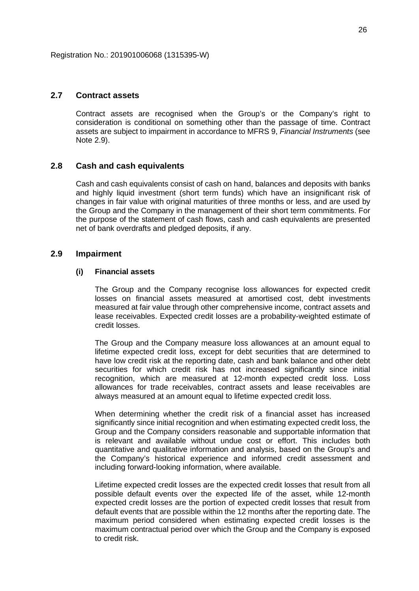### **2.7 Contract assets**

Contract assets are recognised when the Group's or the Company's right to consideration is conditional on something other than the passage of time. Contract assets are subject to impairment in accordance to MFRS 9, *Financial Instruments* (see Note 2.9).

### **2.8 Cash and cash equivalents**

Cash and cash equivalents consist of cash on hand, balances and deposits with banks and highly liquid investment (short term funds) which have an insignificant risk of changes in fair value with original maturities of three months or less, and are used by the Group and the Company in the management of their short term commitments. For the purpose of the statement of cash flows, cash and cash equivalents are presented net of bank overdrafts and pledged deposits, if any.

### **2.9 Impairment**

### **(i) Financial assets**

The Group and the Company recognise loss allowances for expected credit losses on financial assets measured at amortised cost, debt investments measured at fair value through other comprehensive income, contract assets and lease receivables. Expected credit losses are a probability-weighted estimate of credit losses.

The Group and the Company measure loss allowances at an amount equal to lifetime expected credit loss, except for debt securities that are determined to have low credit risk at the reporting date, cash and bank balance and other debt securities for which credit risk has not increased significantly since initial recognition, which are measured at 12-month expected credit loss. Loss allowances for trade receivables, contract assets and lease receivables are always measured at an amount equal to lifetime expected credit loss.

When determining whether the credit risk of a financial asset has increased significantly since initial recognition and when estimating expected credit loss, the Group and the Company considers reasonable and supportable information that is relevant and available without undue cost or effort. This includes both quantitative and qualitative information and analysis, based on the Group's and the Company's historical experience and informed credit assessment and including forward-looking information, where available.

Lifetime expected credit losses are the expected credit losses that result from all possible default events over the expected life of the asset, while 12-month expected credit losses are the portion of expected credit losses that result from default events that are possible within the 12 months after the reporting date. The maximum period considered when estimating expected credit losses is the maximum contractual period over which the Group and the Company is exposed to credit risk.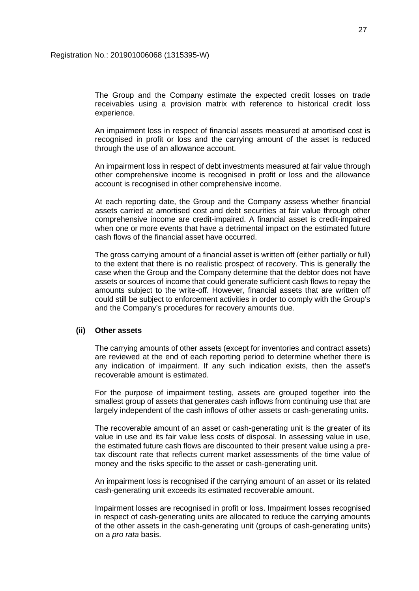The Group and the Company estimate the expected credit losses on trade receivables using a provision matrix with reference to historical credit loss experience.

An impairment loss in respect of financial assets measured at amortised cost is recognised in profit or loss and the carrying amount of the asset is reduced through the use of an allowance account.

An impairment loss in respect of debt investments measured at fair value through other comprehensive income is recognised in profit or loss and the allowance account is recognised in other comprehensive income.

At each reporting date, the Group and the Company assess whether financial assets carried at amortised cost and debt securities at fair value through other comprehensive income are credit-impaired. A financial asset is credit-impaired when one or more events that have a detrimental impact on the estimated future cash flows of the financial asset have occurred.

The gross carrying amount of a financial asset is written off (either partially or full) to the extent that there is no realistic prospect of recovery. This is generally the case when the Group and the Company determine that the debtor does not have assets or sources of income that could generate sufficient cash flows to repay the amounts subject to the write-off. However, financial assets that are written off could still be subject to enforcement activities in order to comply with the Group's and the Company's procedures for recovery amounts due.

#### **(ii) Other assets**

The carrying amounts of other assets (except for inventories and contract assets) are reviewed at the end of each reporting period to determine whether there is any indication of impairment. If any such indication exists, then the asset's recoverable amount is estimated.

For the purpose of impairment testing, assets are grouped together into the smallest group of assets that generates cash inflows from continuing use that are largely independent of the cash inflows of other assets or cash-generating units.

The recoverable amount of an asset or cash-generating unit is the greater of its value in use and its fair value less costs of disposal. In assessing value in use, the estimated future cash flows are discounted to their present value using a pretax discount rate that reflects current market assessments of the time value of money and the risks specific to the asset or cash-generating unit.

An impairment loss is recognised if the carrying amount of an asset or its related cash-generating unit exceeds its estimated recoverable amount.

Impairment losses are recognised in profit or loss. Impairment losses recognised in respect of cash-generating units are allocated to reduce the carrying amounts of the other assets in the cash-generating unit (groups of cash-generating units) on a *pro rata* basis.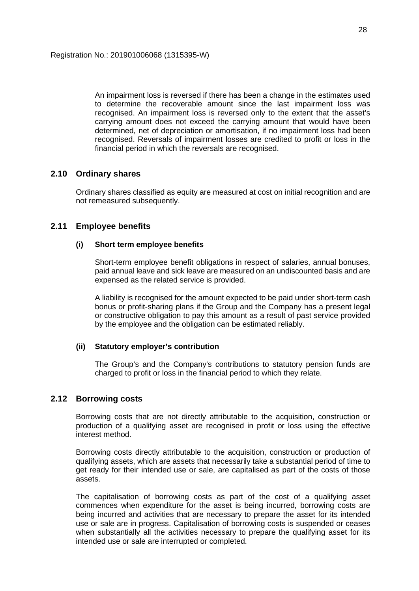An impairment loss is reversed if there has been a change in the estimates used to determine the recoverable amount since the last impairment loss was recognised. An impairment loss is reversed only to the extent that the asset's carrying amount does not exceed the carrying amount that would have been determined, net of depreciation or amortisation, if no impairment loss had been recognised. Reversals of impairment losses are credited to profit or loss in the financial period in which the reversals are recognised.

### **2.10 Ordinary shares**

Ordinary shares classified as equity are measured at cost on initial recognition and are not remeasured subsequently.

### **2.11 Employee benefits**

### **(i) Short term employee benefits**

Short-term employee benefit obligations in respect of salaries, annual bonuses, paid annual leave and sick leave are measured on an undiscounted basis and are expensed as the related service is provided.

A liability is recognised for the amount expected to be paid under short-term cash bonus or profit-sharing plans if the Group and the Company has a present legal or constructive obligation to pay this amount as a result of past service provided by the employee and the obligation can be estimated reliably.

### **(ii) Statutory employer's contribution**

The Group's and the Company's contributions to statutory pension funds are charged to profit or loss in the financial period to which they relate.

### **2.12 Borrowing costs**

Borrowing costs that are not directly attributable to the acquisition, construction or production of a qualifying asset are recognised in profit or loss using the effective interest method.

Borrowing costs directly attributable to the acquisition, construction or production of qualifying assets, which are assets that necessarily take a substantial period of time to get ready for their intended use or sale, are capitalised as part of the costs of those assets.

The capitalisation of borrowing costs as part of the cost of a qualifying asset commences when expenditure for the asset is being incurred, borrowing costs are being incurred and activities that are necessary to prepare the asset for its intended use or sale are in progress. Capitalisation of borrowing costs is suspended or ceases when substantially all the activities necessary to prepare the qualifying asset for its intended use or sale are interrupted or completed.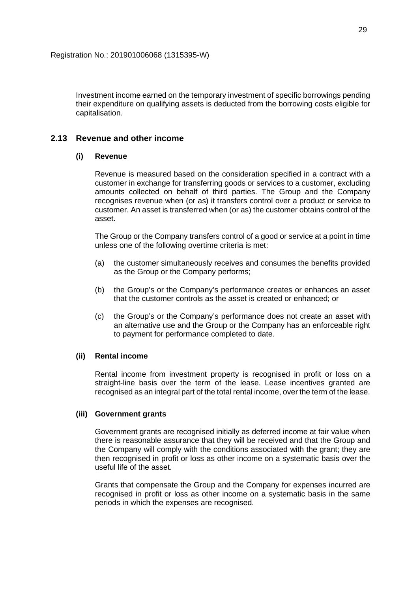Investment income earned on the temporary investment of specific borrowings pending their expenditure on qualifying assets is deducted from the borrowing costs eligible for capitalisation.

## **2.13 Revenue and other income**

### **(i) Revenue**

Revenue is measured based on the consideration specified in a contract with a customer in exchange for transferring goods or services to a customer, excluding amounts collected on behalf of third parties. The Group and the Company recognises revenue when (or as) it transfers control over a product or service to customer. An asset is transferred when (or as) the customer obtains control of the asset.

The Group or the Company transfers control of a good or service at a point in time unless one of the following overtime criteria is met:

- (a) the customer simultaneously receives and consumes the benefits provided as the Group or the Company performs;
- (b) the Group's or the Company's performance creates or enhances an asset that the customer controls as the asset is created or enhanced; or
- (c) the Group's or the Company's performance does not create an asset with an alternative use and the Group or the Company has an enforceable right to payment for performance completed to date.

### **(ii) Rental income**

Rental income from investment property is recognised in profit or loss on a straight-line basis over the term of the lease. Lease incentives granted are recognised as an integral part of the total rental income, over the term of the lease.

### **(iii) Government grants**

Government grants are recognised initially as deferred income at fair value when there is reasonable assurance that they will be received and that the Group and the Company will comply with the conditions associated with the grant; they are then recognised in profit or loss as other income on a systematic basis over the useful life of the asset.

Grants that compensate the Group and the Company for expenses incurred are recognised in profit or loss as other income on a systematic basis in the same periods in which the expenses are recognised.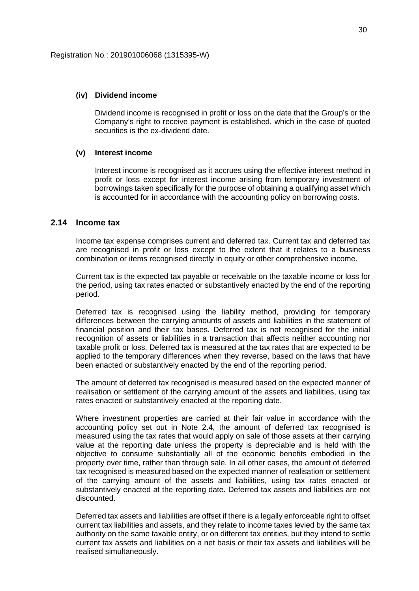#### **(iv) Dividend income**

Dividend income is recognised in profit or loss on the date that the Group's or the Company's right to receive payment is established, which in the case of quoted securities is the ex-dividend date.

### **(v) Interest income**

Interest income is recognised as it accrues using the effective interest method in profit or loss except for interest income arising from temporary investment of borrowings taken specifically for the purpose of obtaining a qualifying asset which is accounted for in accordance with the accounting policy on borrowing costs.

### **2.14 Income tax**

Income tax expense comprises current and deferred tax. Current tax and deferred tax are recognised in profit or loss except to the extent that it relates to a business combination or items recognised directly in equity or other comprehensive income.

Current tax is the expected tax payable or receivable on the taxable income or loss for the period, using tax rates enacted or substantively enacted by the end of the reporting period.

Deferred tax is recognised using the liability method, providing for temporary differences between the carrying amounts of assets and liabilities in the statement of financial position and their tax bases. Deferred tax is not recognised for the initial recognition of assets or liabilities in a transaction that affects neither accounting nor taxable profit or loss. Deferred tax is measured at the tax rates that are expected to be applied to the temporary differences when they reverse, based on the laws that have been enacted or substantively enacted by the end of the reporting period.

The amount of deferred tax recognised is measured based on the expected manner of realisation or settlement of the carrying amount of the assets and liabilities, using tax rates enacted or substantively enacted at the reporting date.

Where investment properties are carried at their fair value in accordance with the accounting policy set out in Note 2.4, the amount of deferred tax recognised is measured using the tax rates that would apply on sale of those assets at their carrying value at the reporting date unless the property is depreciable and is held with the objective to consume substantially all of the economic benefits embodied in the property over time, rather than through sale. In all other cases, the amount of deferred tax recognised is measured based on the expected manner of realisation or settlement of the carrying amount of the assets and liabilities, using tax rates enacted or substantively enacted at the reporting date. Deferred tax assets and liabilities are not discounted.

Deferred tax assets and liabilities are offset if there is a legally enforceable right to offset current tax liabilities and assets, and they relate to income taxes levied by the same tax authority on the same taxable entity, or on different tax entities, but they intend to settle current tax assets and liabilities on a net basis or their tax assets and liabilities will be realised simultaneously.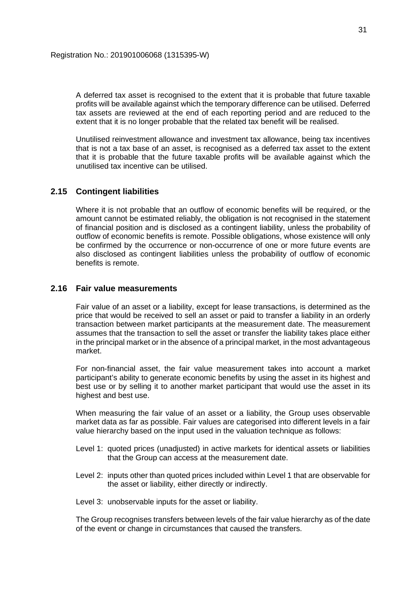A deferred tax asset is recognised to the extent that it is probable that future taxable profits will be available against which the temporary difference can be utilised. Deferred tax assets are reviewed at the end of each reporting period and are reduced to the extent that it is no longer probable that the related tax benefit will be realised.

Unutilised reinvestment allowance and investment tax allowance, being tax incentives that is not a tax base of an asset, is recognised as a deferred tax asset to the extent that it is probable that the future taxable profits will be available against which the unutilised tax incentive can be utilised.

### **2.15 Contingent liabilities**

Where it is not probable that an outflow of economic benefits will be required, or the amount cannot be estimated reliably, the obligation is not recognised in the statement of financial position and is disclosed as a contingent liability, unless the probability of outflow of economic benefits is remote. Possible obligations, whose existence will only be confirmed by the occurrence or non-occurrence of one or more future events are also disclosed as contingent liabilities unless the probability of outflow of economic benefits is remote.

## **2.16 Fair value measurements**

Fair value of an asset or a liability, except for lease transactions, is determined as the price that would be received to sell an asset or paid to transfer a liability in an orderly transaction between market participants at the measurement date. The measurement assumes that the transaction to sell the asset or transfer the liability takes place either in the principal market or in the absence of a principal market, in the most advantageous market.

For non-financial asset, the fair value measurement takes into account a market participant's ability to generate economic benefits by using the asset in its highest and best use or by selling it to another market participant that would use the asset in its highest and best use.

When measuring the fair value of an asset or a liability, the Group uses observable market data as far as possible. Fair values are categorised into different levels in a fair value hierarchy based on the input used in the valuation technique as follows:

- Level 1: quoted prices (unadjusted) in active markets for identical assets or liabilities that the Group can access at the measurement date.
- Level 2: inputs other than quoted prices included within Level 1 that are observable for the asset or liability, either directly or indirectly.
- Level 3: unobservable inputs for the asset or liability.

The Group recognises transfers between levels of the fair value hierarchy as of the date of the event or change in circumstances that caused the transfers.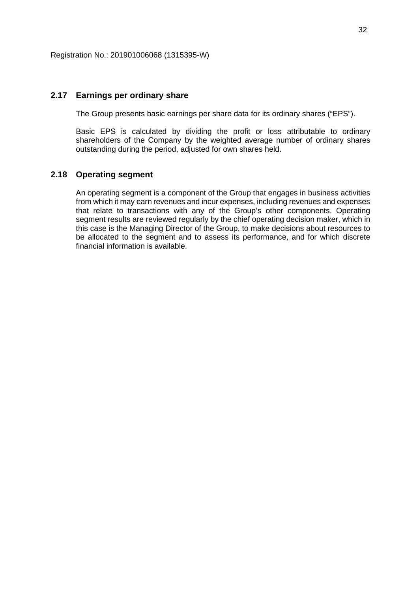### **2.17 Earnings per ordinary share**

The Group presents basic earnings per share data for its ordinary shares ("EPS").

Basic EPS is calculated by dividing the profit or loss attributable to ordinary shareholders of the Company by the weighted average number of ordinary shares outstanding during the period, adjusted for own shares held.

### **2.18 Operating segment**

An operating segment is a component of the Group that engages in business activities from which it may earn revenues and incur expenses, including revenues and expenses that relate to transactions with any of the Group's other components. Operating segment results are reviewed regularly by the chief operating decision maker, which in this case is the Managing Director of the Group, to make decisions about resources to be allocated to the segment and to assess its performance, and for which discrete financial information is available.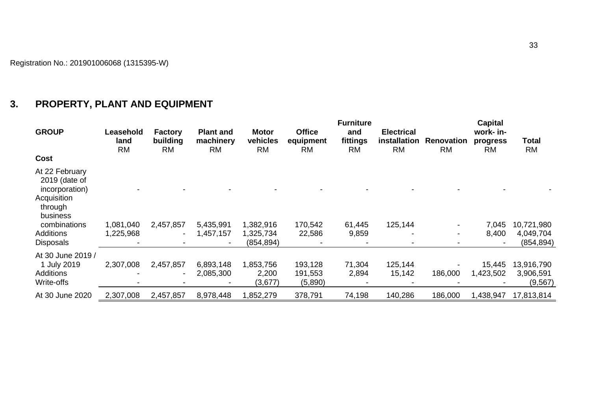# **3. PROPERTY, PLANT AND EQUIPMENT**

| <b>GROUP</b>                                                                                                                                    | Leasehold<br>land<br><b>RM</b> | <b>Factory</b><br>building<br><b>RM</b> | <b>Plant and</b><br>machinery<br><b>RM</b> | <b>Motor</b><br>vehicles<br><b>RM</b> | <b>Office</b><br>equipment<br><b>RM</b> | <b>Furniture</b><br>and<br>fittings<br><b>RM</b> | <b>Electrical</b><br>installation<br><b>RM</b> | <b>Renovation</b><br><b>RM</b> | <b>Capital</b><br>work- in-<br>progress<br><b>RM</b> | Total<br><b>RM</b>                    |
|-------------------------------------------------------------------------------------------------------------------------------------------------|--------------------------------|-----------------------------------------|--------------------------------------------|---------------------------------------|-----------------------------------------|--------------------------------------------------|------------------------------------------------|--------------------------------|------------------------------------------------------|---------------------------------------|
| Cost                                                                                                                                            |                                |                                         |                                            |                                       |                                         |                                                  |                                                |                                |                                                      |                                       |
| At 22 February<br>2019 (date of<br>incorporation)<br>Acquisition<br>through<br>business<br>combinations<br><b>Additions</b><br><b>Disposals</b> | 1,081,040<br>1,225,968         | 2,457,857                               | 5,435,991<br>1,457,157                     | 1,382,916<br>1,325,734<br>(854, 894)  | 170,542<br>22,586                       | 61,445<br>9,859                                  | 125,144                                        |                                | 7,045<br>8,400                                       | 10,721,980<br>4,049,704<br>(854, 894) |
| At 30 June 2019 /<br>1 July 2019<br><b>Additions</b><br>Write-offs                                                                              | 2,307,008                      | 2,457,857                               | 6,893,148<br>2,085,300                     | 1,853,756<br>2,200<br>(3,677)         | 193,128<br>191,553<br>(5,890)           | 71,304<br>2,894                                  | 125,144<br>15,142                              | 186,000                        | 15,445<br>1,423,502                                  | 13,916,790<br>3,906,591<br>(9, 567)   |
| At 30 June 2020                                                                                                                                 | 2,307,008                      | 2,457,857                               | 8,978,448                                  | 1,852,279                             | 378,791                                 | 74,198                                           | 140,286                                        | 186,000                        | 1,438,947                                            | 17,813,814                            |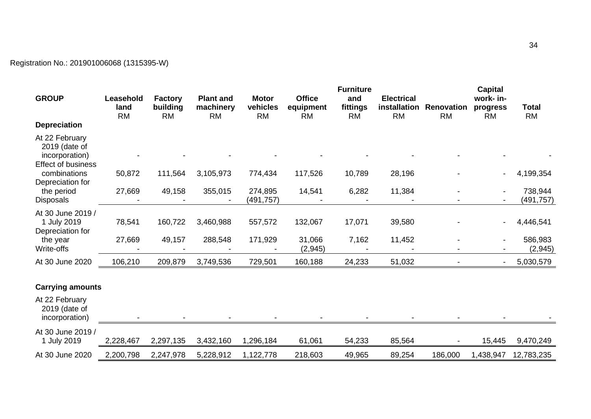# Registration No.: 201901006068 (1315395-W)

| <b>GROUP</b>                                                                   | Leasehold         | <b>Factory</b>        | <b>Plant and</b>       | <b>Motor</b>          | <b>Office</b>          | <b>Furniture</b><br>and | <b>Electrical</b>         |                                | <b>Capital</b><br>work- in- |                           |
|--------------------------------------------------------------------------------|-------------------|-----------------------|------------------------|-----------------------|------------------------|-------------------------|---------------------------|--------------------------------|-----------------------------|---------------------------|
|                                                                                | land<br><b>RM</b> | building<br><b>RM</b> | machinery<br><b>RM</b> | vehicles<br><b>RM</b> | equipment<br><b>RM</b> | fittings<br><b>RM</b>   | installation<br><b>RM</b> | <b>Renovation</b><br><b>RM</b> | progress<br><b>RM</b>       | <b>Total</b><br><b>RM</b> |
| <b>Depreciation</b>                                                            |                   |                       |                        |                       |                        |                         |                           |                                |                             |                           |
| At 22 February<br>2019 (date of<br>incorporation)<br><b>Effect of business</b> |                   |                       |                        |                       |                        |                         |                           |                                |                             |                           |
| combinations<br>Depreciation for                                               | 50,872            | 111,564               | 3,105,973              | 774,434               | 117,526                | 10,789                  | 28,196                    |                                |                             | 4,199,354                 |
| the period<br>Disposals                                                        | 27,669            | 49,158                | 355,015                | 274,895<br>(491,757)  | 14,541                 | 6,282                   | 11,384                    |                                |                             | 738,944<br>(491,757)      |
| At 30 June 2019 /<br>1 July 2019<br>Depreciation for                           | 78,541            | 160,722               | 3,460,988              | 557,572               | 132,067                | 17,071                  | 39,580                    |                                |                             | 4,446,541                 |
| the year<br>Write-offs                                                         | 27,669            | 49,157                | 288,548                | 171,929               | 31,066<br>(2, 945)     | 7,162                   | 11,452                    |                                |                             | 586,983<br>(2, 945)       |
| At 30 June 2020                                                                | 106,210           | 209,879               | 3,749,536              | 729,501               | 160,188                | 24,233                  | 51,032                    |                                | $\blacksquare$              | 5,030,579                 |
| <b>Carrying amounts</b>                                                        |                   |                       |                        |                       |                        |                         |                           |                                |                             |                           |
| At 22 February<br>2019 (date of<br>incorporation)                              |                   |                       |                        |                       |                        |                         |                           |                                |                             |                           |
| At 30 June 2019 /<br>1 July 2019                                               | 2,228,467         | 2,297,135             | 3,432,160              | 1,296,184             | 61,061                 | 54,233                  | 85,564                    |                                | 15,445                      | 9,470,249                 |
| At 30 June 2020                                                                | 2,200,798         | 2,247,978             | 5,228,912              | 1,122,778             | 218,603                | 49,965                  | 89,254                    | 186,000                        | 1,438,947                   | 12,783,235                |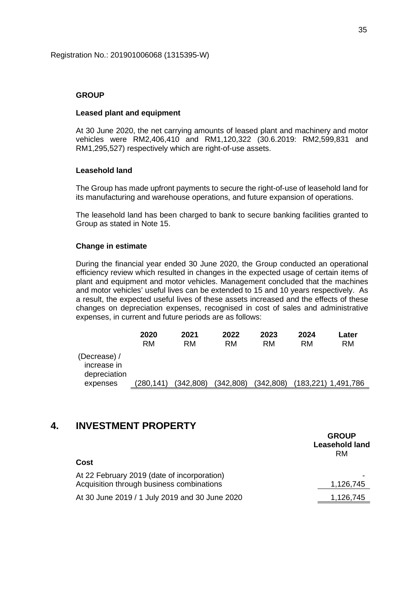### **GROUP**

### **Leased plant and equipment**

At 30 June 2020, the net carrying amounts of leased plant and machinery and motor vehicles were RM2,406,410 and RM1,120,322 (30.6.2019: RM2,599,831 and RM1,295,527) respectively which are right-of-use assets.

### **Leasehold land**

The Group has made upfront payments to secure the right-of-use of leasehold land for its manufacturing and warehouse operations, and future expansion of operations.

The leasehold land has been charged to bank to secure banking facilities granted to Group as stated in Note 15.

### **Change in estimate**

During the financial year ended 30 June 2020, the Group conducted an operational efficiency review which resulted in changes in the expected usage of certain items of plant and equipment and motor vehicles. Management concluded that the machines and motor vehicles' useful lives can be extended to 15 and 10 years respectively. As a result, the expected useful lives of these assets increased and the effects of these changes on depreciation expenses, recognised in cost of sales and administrative expenses, in current and future periods are as follows:

|                                             | 2020      | 2021       | 2022       | 2023      | 2024      | Later     |
|---------------------------------------------|-----------|------------|------------|-----------|-----------|-----------|
|                                             | RM        | RM         | <b>RM</b>  | RM        | RM        | <b>RM</b> |
| (Decrease) /<br>increase in<br>depreciation |           |            |            |           |           |           |
| expenses                                    | (280,141) | (342, 808) | (342, 808) | (342,808) | (183,221) | 1,491,786 |

# **4. INVESTMENT PROPERTY**

|                                                | <b>Leasehold land</b><br>RM |
|------------------------------------------------|-----------------------------|
| Cost                                           |                             |
| At 22 February 2019 (date of incorporation)    |                             |
| Acquisition through business combinations      | 1,126,745                   |
| At 30 June 2019 / 1 July 2019 and 30 June 2020 | 1,126,745                   |

**GROUP**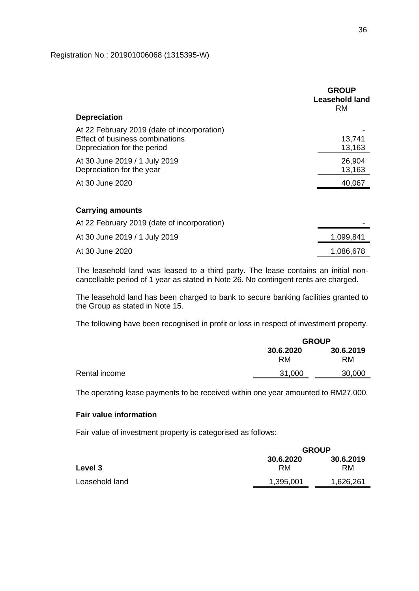Registration No.: 201901006068 (1315395-W)

|                                                                                                               | <b>GROUP</b><br>Leasehold land<br><b>RM</b> |
|---------------------------------------------------------------------------------------------------------------|---------------------------------------------|
| <b>Depreciation</b>                                                                                           |                                             |
| At 22 February 2019 (date of incorporation)<br>Effect of business combinations<br>Depreciation for the period | 13,741<br>13,163                            |
| At 30 June 2019 / 1 July 2019<br>Depreciation for the year                                                    | 26,904<br>13,163                            |
| At 30 June 2020                                                                                               | 40,067                                      |
| <b>Carrying amounts</b>                                                                                       |                                             |
| At 22 February 2019 (date of incorporation)                                                                   |                                             |
| At 30 June 2019 / 1 July 2019                                                                                 | 1,099,841                                   |
| At 30 June 2020                                                                                               | 1,086,678                                   |

The leasehold land was leased to a third party. The lease contains an initial noncancellable period of 1 year as stated in Note 26. No contingent rents are charged.

The leasehold land has been charged to bank to secure banking facilities granted to the Group as stated in Note 15.

The following have been recognised in profit or loss in respect of investment property.

|               | <b>GROUP</b>           |                        |
|---------------|------------------------|------------------------|
|               | 30.6.2020<br><b>RM</b> | 30.6.2019<br><b>RM</b> |
| Rental income | 31,000                 | 30,000                 |
|               |                        |                        |

The operating lease payments to be received within one year amounted to RM27,000.

## **Fair value information**

Fair value of investment property is categorised as follows:

|                | <b>GROUP</b>    |                 |
|----------------|-----------------|-----------------|
| Level 3        | 30.6.2020<br>RM | 30.6.2019<br>RM |
| Leasehold land | 1,395,001       | 1,626,261       |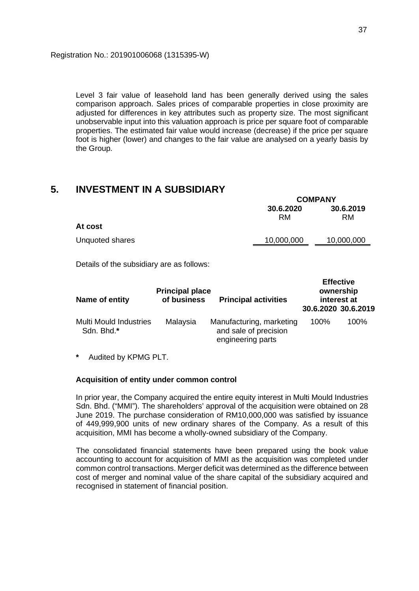Level 3 fair value of leasehold land has been generally derived using the sales comparison approach. Sales prices of comparable properties in close proximity are adjusted for differences in key attributes such as property size. The most significant unobservable input into this valuation approach is price per square foot of comparable properties. The estimated fair value would increase (decrease) if the price per square foot is higher (lower) and changes to the fair value are analysed on a yearly basis by the Group.

## **5. INVESTMENT IN A SUBSIDIARY**

|                 |            | <b>COMPANY</b> |  |  |  |
|-----------------|------------|----------------|--|--|--|
|                 | 30.6.2020  | 30.6.2019      |  |  |  |
| At cost         | RM         | <b>RM</b>      |  |  |  |
| Unquoted shares | 10,000,000 | 10,000,000     |  |  |  |
|                 |            |                |  |  |  |

Details of the subsidiary are as follows:

| Name of entity                              | <b>Principal place</b><br>of business | <b>Principal activities</b>                                            |      | <b>Effective</b><br>ownership<br>interest at<br>30.6.2020 30.6.2019 |
|---------------------------------------------|---------------------------------------|------------------------------------------------------------------------|------|---------------------------------------------------------------------|
| <b>Multi Mould Industries</b><br>Sdn. Bhd.* | Malaysia                              | Manufacturing, marketing<br>and sale of precision<br>engineering parts | 100% | 100%                                                                |

**\*** Audited by KPMG PLT.

### **Acquisition of entity under common control**

In prior year, the Company acquired the entire equity interest in Multi Mould Industries Sdn. Bhd. ("MMI"). The shareholders' approval of the acquisition were obtained on 28 June 2019. The purchase consideration of RM10,000,000 was satisfied by issuance of 449,999,900 units of new ordinary shares of the Company. As a result of this acquisition, MMI has become a wholly-owned subsidiary of the Company.

The consolidated financial statements have been prepared using the book value accounting to account for acquisition of MMI as the acquisition was completed under common control transactions. Merger deficit was determined as the difference between cost of merger and nominal value of the share capital of the subsidiary acquired and recognised in statement of financial position.

**COMPANY**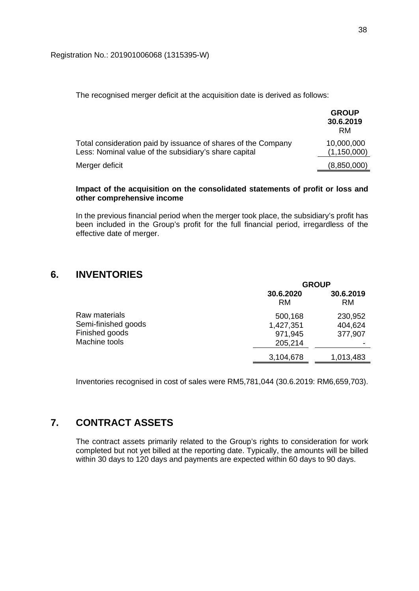The recognised merger deficit at the acquisition date is derived as follows:

|                                                                                                                        | <b>GROUP</b><br>30.6.2019<br>RM |
|------------------------------------------------------------------------------------------------------------------------|---------------------------------|
| Total consideration paid by issuance of shares of the Company<br>Less: Nominal value of the subsidiary's share capital | 10,000,000<br>(1, 150, 000)     |
| Merger deficit                                                                                                         | (8,850,000)                     |

### **Impact of the acquisition on the consolidated statements of profit or loss and other comprehensive income**

In the previous financial period when the merger took place, the subsidiary's profit has been included in the Group's profit for the full financial period, irregardless of the effective date of merger.

# **6. INVENTORIES**

|                     |                        | <b>GROUP</b>    |  |  |
|---------------------|------------------------|-----------------|--|--|
|                     | 30.6.2020<br><b>RM</b> | 30.6.2019<br>RM |  |  |
| Raw materials       | 500,168                | 230,952         |  |  |
| Semi-finished goods | 1,427,351              | 404,624         |  |  |
| Finished goods      | 971,945                | 377,907         |  |  |
| Machine tools       | 205,214                |                 |  |  |
|                     | 3,104,678              | 1,013,483       |  |  |

Inventories recognised in cost of sales were RM5,781,044 (30.6.2019: RM6,659,703).

# **7. CONTRACT ASSETS**

The contract assets primarily related to the Group's rights to consideration for work completed but not yet billed at the reporting date. Typically, the amounts will be billed within 30 days to 120 days and payments are expected within 60 days to 90 days.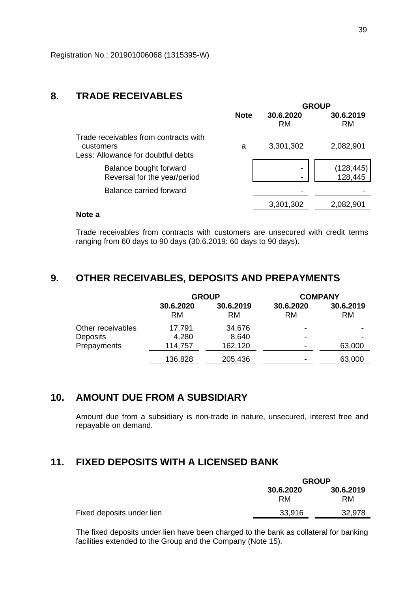## **8. TRADE RECEIVABLES**

|                                                                                          |             |                        | <b>GROUP</b>           |
|------------------------------------------------------------------------------------------|-------------|------------------------|------------------------|
|                                                                                          | <b>Note</b> | 30.6.2020<br><b>RM</b> | 30.6.2019<br><b>RM</b> |
| Trade receivables from contracts with<br>customers<br>Less: Allowance for doubtful debts | a           | 3,301,302              | 2,082,901              |
| Balance bought forward<br>Reversal for the year/period                                   |             |                        | (128, 445)<br>128,445  |
| Balance carried forward                                                                  |             |                        |                        |
|                                                                                          |             | 3,301,302              | 2,082,901              |
|                                                                                          |             |                        |                        |

## **Note a**

Trade receivables from contracts with customers are unsecured with credit terms ranging from 60 days to 90 days (30.6.2019: 60 days to 90 days).

# **9. OTHER RECEIVABLES, DEPOSITS AND PREPAYMENTS**

|                   | <b>GROUP</b>           |                        | <b>COMPANY</b>         |                        |
|-------------------|------------------------|------------------------|------------------------|------------------------|
|                   | 30.6.2020<br><b>RM</b> | 30.6.2019<br><b>RM</b> | 30.6.2020<br><b>RM</b> | 30.6.2019<br><b>RM</b> |
| Other receivables | 17,791                 | 34,676                 | -                      |                        |
| Deposits          | 4,280                  | 8,640                  | $\,$                   |                        |
| Prepayments       | 114,757                | 162,120                | $\,$                   | 63,000                 |
|                   | 136,828                | 205,436                | -                      | 63,000                 |

# **10. AMOUNT DUE FROM A SUBSIDIARY**

Amount due from a subsidiary is non-trade in nature, unsecured, interest free and repayable on demand.

## **11. FIXED DEPOSITS WITH A LICENSED BANK**

|                           | <b>GROUP</b>    |                        |  |
|---------------------------|-----------------|------------------------|--|
|                           | 30.6.2020<br>RM | 30.6.2019<br><b>RM</b> |  |
| Fixed deposits under lien | 33,916          | 32,978                 |  |

The fixed deposits under lien have been charged to the bank as collateral for banking facilities extended to the Group and the Company (Note 15).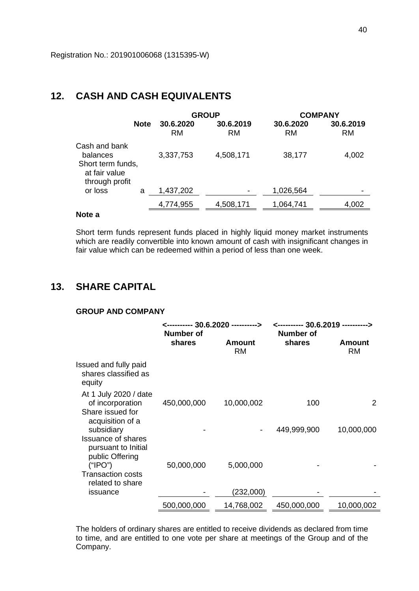## **12. CASH AND CASH EQUIVALENTS**

|                                                                                   |             |                        | <b>GROUP</b>           | <b>COMPANY</b>         |                        |  |
|-----------------------------------------------------------------------------------|-------------|------------------------|------------------------|------------------------|------------------------|--|
|                                                                                   | <b>Note</b> | 30.6.2020<br><b>RM</b> | 30.6.2019<br><b>RM</b> | 30.6.2020<br><b>RM</b> | 30.6.2019<br><b>RM</b> |  |
| Cash and bank<br>balances<br>Short term funds,<br>at fair value<br>through profit |             | 3,337,753              | 4,508,171              | 38,177                 | 4,002                  |  |
| or loss                                                                           | a           | 1,437,202              |                        | 1,026,564              |                        |  |
|                                                                                   |             | 4,774,955              | 4,508,171              | 1,064,741              | 4,002                  |  |

### **Note a**

Short term funds represent funds placed in highly liquid money market instruments which are readily convertible into known amount of cash with insignificant changes in fair value which can be redeemed within a period of less than one week.

## **13. SHARE CAPITAL**

## **GROUP AND COMPANY**

|                                                                                   | <---------- 30.6.2020 ----------> |                     | <---------- 30.6.2019 ----------><br><b>Number of</b> |                     |  |
|-----------------------------------------------------------------------------------|-----------------------------------|---------------------|-------------------------------------------------------|---------------------|--|
|                                                                                   | <b>Number of</b><br>shares        | Amount<br><b>RM</b> | shares                                                | Amount<br><b>RM</b> |  |
| Issued and fully paid<br>shares classified as<br>equity                           |                                   |                     |                                                       |                     |  |
| At 1 July 2020 / date<br>of incorporation<br>Share issued for<br>acquisition of a | 450,000,000                       | 10,000,002          | 100                                                   | 2                   |  |
| subsidiary<br><b>Issuance of shares</b><br>pursuant to Initial                    |                                   |                     | 449,999,900                                           | 10,000,000          |  |
| public Offering<br>("IPO")<br><b>Transaction costs</b><br>related to share        | 50,000,000                        | 5,000,000           |                                                       |                     |  |
| issuance                                                                          |                                   | (232,000)           |                                                       |                     |  |
|                                                                                   | 500,000,000                       | 14,768,002          | 450,000,000                                           | 10,000,002          |  |

The holders of ordinary shares are entitled to receive dividends as declared from time to time, and are entitled to one vote per share at meetings of the Group and of the Company.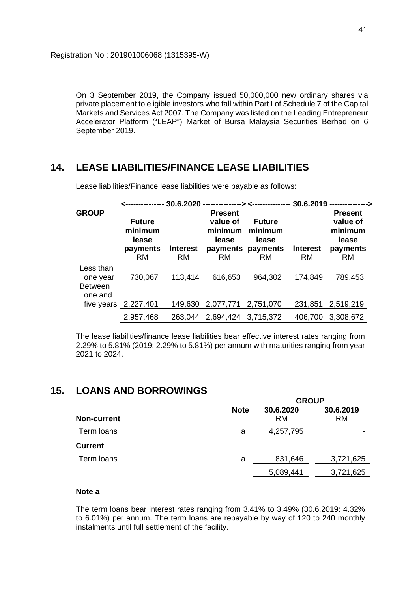On 3 September 2019, the Company issued 50,000,000 new ordinary shares via private placement to eligible investors who fall within Part I of Schedule 7 of the Capital Markets and Services Act 2007. The Company was listed on the Leading Entrepreneur Accelerator Platform ("LEAP") Market of Bursa Malaysia Securities Berhad on 6 September 2019.

# **14. LEASE LIABILITIES/FINANCE LEASE LIABILITIES**

|                                                    |                                                            |                              |                                                             |                                                                     |                              | <--------------- 30.6.2020 ---------------> <---------------- 30.6.2019 --------------> |
|----------------------------------------------------|------------------------------------------------------------|------------------------------|-------------------------------------------------------------|---------------------------------------------------------------------|------------------------------|-----------------------------------------------------------------------------------------|
| <b>GROUP</b>                                       | <b>Future</b><br>minimum<br>lease<br>payments<br><b>RM</b> | <b>Interest</b><br><b>RM</b> | <b>Present</b><br>value of<br>minimum<br>lease<br><b>RM</b> | <b>Future</b><br>minimum<br>lease<br>payments payments<br><b>RM</b> | <b>Interest</b><br><b>RM</b> | <b>Present</b><br>value of<br>minimum<br>lease<br>payments<br><b>RM</b>                 |
| Less than<br>one year<br><b>Between</b><br>one and | 730,067<br>five years 2,227,401                            | 113,414<br>149,630           | 616,653<br>2,077,771 2,751,070                              | 964,302                                                             | 174,849<br>231,851           | 789,453<br>2,519,219                                                                    |
|                                                    | 2,957,468                                                  | 263.044                      | 2,694,424                                                   | 3,715,372                                                           | 406,700                      | 3,308,672                                                                               |

Lease liabilities/Finance lease liabilities were payable as follows:

The lease liabilities/finance lease liabilities bear effective interest rates ranging from 2.29% to 5.81% (2019: 2.29% to 5.81%) per annum with maturities ranging from year 2021 to 2024.

## **15. LOANS AND BORROWINGS**

|                | GRUUP       |                        |                        |  |  |
|----------------|-------------|------------------------|------------------------|--|--|
| Non-current    | <b>Note</b> | 30.6.2020<br><b>RM</b> | 30.6.2019<br><b>RM</b> |  |  |
| Term loans     | а           | 4,257,795              | ۰                      |  |  |
| <b>Current</b> |             |                        |                        |  |  |
| Term loans     | а           | 831,646                | 3,721,625              |  |  |
|                |             | 5,089,441              | 3,721,625              |  |  |

**GROUP**

### **Note a**

The term loans bear interest rates ranging from 3.41% to 3.49% (30.6.2019: 4.32% to 6.01%) per annum. The term loans are repayable by way of 120 to 240 monthly instalments until full settlement of the facility.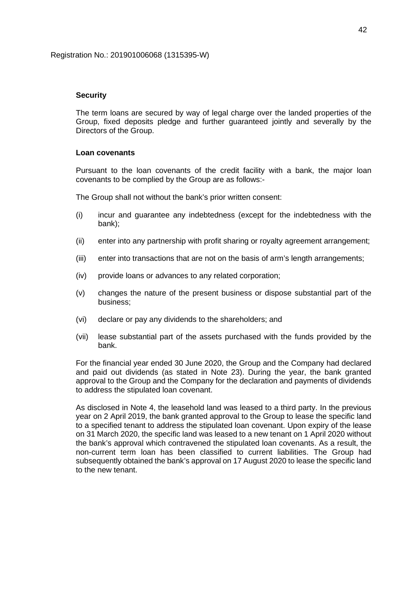### **Security**

The term loans are secured by way of legal charge over the landed properties of the Group, fixed deposits pledge and further guaranteed jointly and severally by the Directors of the Group.

### **Loan covenants**

Pursuant to the loan covenants of the credit facility with a bank, the major loan covenants to be complied by the Group are as follows:-

The Group shall not without the bank's prior written consent:

- (i) incur and guarantee any indebtedness (except for the indebtedness with the bank);
- (ii) enter into any partnership with profit sharing or royalty agreement arrangement;
- (iii) enter into transactions that are not on the basis of arm's length arrangements;
- (iv) provide loans or advances to any related corporation;
- (v) changes the nature of the present business or dispose substantial part of the business;
- (vi) declare or pay any dividends to the shareholders; and
- (vii) lease substantial part of the assets purchased with the funds provided by the bank.

For the financial year ended 30 June 2020, the Group and the Company had declared and paid out dividends (as stated in Note 23). During the year, the bank granted approval to the Group and the Company for the declaration and payments of dividends to address the stipulated loan covenant.

As disclosed in Note 4, the leasehold land was leased to a third party. In the previous year on 2 April 2019, the bank granted approval to the Group to lease the specific land to a specified tenant to address the stipulated loan covenant. Upon expiry of the lease on 31 March 2020, the specific land was leased to a new tenant on 1 April 2020 without the bank's approval which contravened the stipulated loan covenants. As a result, the non-current term loan has been classified to current liabilities. The Group had subsequently obtained the bank's approval on 17 August 2020 to lease the specific land to the new tenant.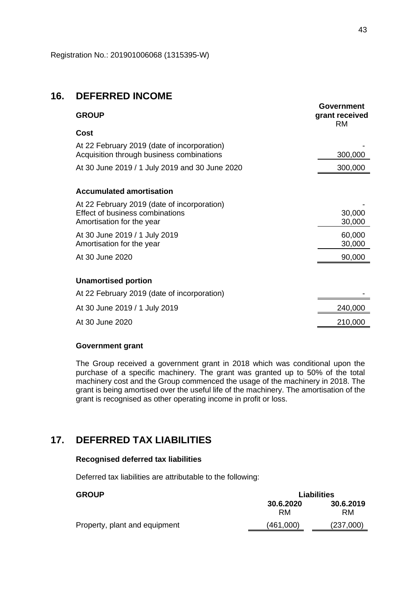## **16. DEFERRED INCOME**

| <b>GROUP</b>                                                                                                       | Government<br>grant received<br><b>RM</b> |
|--------------------------------------------------------------------------------------------------------------------|-------------------------------------------|
| Cost                                                                                                               |                                           |
| At 22 February 2019 (date of incorporation)<br>Acquisition through business combinations                           | 300,000                                   |
| At 30 June 2019 / 1 July 2019 and 30 June 2020                                                                     | 300,000                                   |
|                                                                                                                    |                                           |
| <b>Accumulated amortisation</b>                                                                                    |                                           |
| At 22 February 2019 (date of incorporation)<br><b>Effect of business combinations</b><br>Amortisation for the year | 30,000<br>30,000                          |
| At 30 June 2019 / 1 July 2019<br>Amortisation for the year                                                         | 60,000<br>30,000                          |
| At 30 June 2020                                                                                                    | 90,000                                    |
|                                                                                                                    |                                           |
| <b>Unamortised portion</b>                                                                                         |                                           |
| At 22 February 2019 (date of incorporation)                                                                        |                                           |
| At 30 June 2019 / 1 July 2019                                                                                      | 240,000                                   |
| At 30 June 2020                                                                                                    | 210,000                                   |

### **Government grant**

The Group received a government grant in 2018 which was conditional upon the purchase of a specific machinery. The grant was granted up to 50% of the total machinery cost and the Group commenced the usage of the machinery in 2018. The grant is being amortised over the useful life of the machinery. The amortisation of the grant is recognised as other operating income in profit or loss.

# **17. DEFERRED TAX LIABILITIES**

### **Recognised deferred tax liabilities**

Deferred tax liabilities are attributable to the following:

## **GROUP Liabilities 30.6.2020 30.6.2019** RM RM Property, plant and equipment (461,000) (237,000)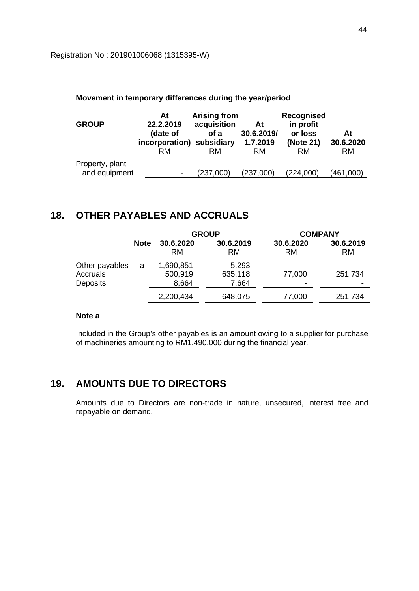### **Movement in temporary differences during the year/period**

| <b>GROUP</b>    | At<br>22.2.2019<br>(date of<br>incorporation)<br>RM | <b>Arising from</b><br>acquisition<br>of a<br>subsidiary<br>RM | At<br>30.6.2019/<br>1.7.2019<br><b>RM</b> | Recognised<br>in profit<br>or loss<br>(Note 21)<br><b>RM</b> | At<br>30.6.2020<br><b>RM</b> |
|-----------------|-----------------------------------------------------|----------------------------------------------------------------|-------------------------------------------|--------------------------------------------------------------|------------------------------|
| Property, plant |                                                     |                                                                |                                           |                                                              |                              |
| and equipment   | $\overline{\phantom{a}}$                            | (237,000)                                                      | (237,000)                                 | (224,000)                                                    | (461,000)                    |

# **18. OTHER PAYABLES AND ACCRUALS**

|                                               |             |                               | <b>GROUP</b>              | <b>COMPANY</b>         |                        |
|-----------------------------------------------|-------------|-------------------------------|---------------------------|------------------------|------------------------|
|                                               | <b>Note</b> | 30.6.2020<br>RM               | 30.6.2019<br><b>RM</b>    | 30.6.2020<br><b>RM</b> | 30.6.2019<br><b>RM</b> |
| Other payables<br>Accruals<br><b>Deposits</b> | a           | 1,690,851<br>500,919<br>8,664 | 5,293<br>635,118<br>7,664 | 77,000<br>-            | 251,734                |
|                                               |             | 2,200,434                     | 648,075                   | 77,000                 | 251,734                |

## **Note a**

Included in the Group's other payables is an amount owing to a supplier for purchase of machineries amounting to RM1,490,000 during the financial year.

# **19. AMOUNTS DUE TO DIRECTORS**

Amounts due to Directors are non-trade in nature, unsecured, interest free and repayable on demand.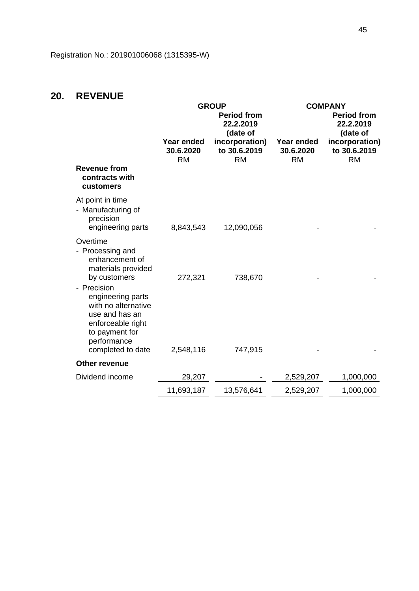# **20. REVENUE**

|                                                                                                                                                      |                                      | <b>GROUP</b><br><b>Period from</b><br>22.2.2019         |                                      | <b>COMPANY</b><br><b>Period from</b><br>22.2.2019       |
|------------------------------------------------------------------------------------------------------------------------------------------------------|--------------------------------------|---------------------------------------------------------|--------------------------------------|---------------------------------------------------------|
|                                                                                                                                                      | Year ended<br>30.6.2020<br><b>RM</b> | (date of<br>incorporation)<br>to 30.6.2019<br><b>RM</b> | Year ended<br>30.6.2020<br><b>RM</b> | (date of<br>incorporation)<br>to 30.6.2019<br><b>RM</b> |
| <b>Revenue from</b><br>contracts with<br>customers                                                                                                   |                                      |                                                         |                                      |                                                         |
| At point in time<br>- Manufacturing of<br>precision<br>engineering parts                                                                             | 8,843,543                            | 12,090,056                                              |                                      |                                                         |
| Overtime<br>- Processing and<br>enhancement of<br>materials provided<br>by customers                                                                 | 272,321                              | 738,670                                                 |                                      |                                                         |
| - Precision<br>engineering parts<br>with no alternative<br>use and has an<br>enforceable right<br>to payment for<br>performance<br>completed to date | 2,548,116                            | 747,915                                                 |                                      |                                                         |
| Other revenue                                                                                                                                        |                                      |                                                         |                                      |                                                         |
| Dividend income                                                                                                                                      | 29,207                               |                                                         | 2,529,207                            | 1,000,000                                               |
|                                                                                                                                                      | 11,693,187                           | 13,576,641                                              | 2,529,207                            | 1,000,000                                               |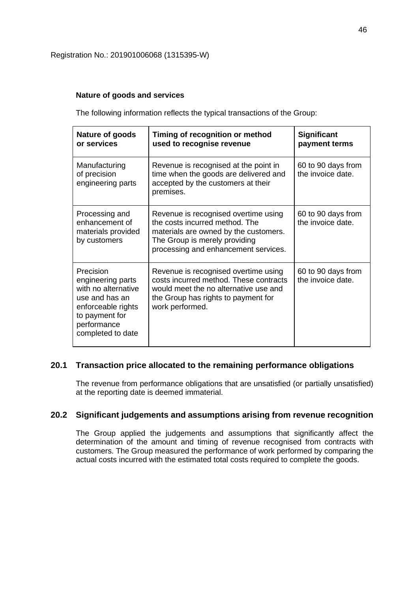### **Nature of goods and services**

The following information reflects the typical transactions of the Group:

| Nature of goods<br>or services                                                                                                                      | Timing of recognition or method<br>used to recognise revenue                                                                                                                             | <b>Significant</b><br>payment terms     |
|-----------------------------------------------------------------------------------------------------------------------------------------------------|------------------------------------------------------------------------------------------------------------------------------------------------------------------------------------------|-----------------------------------------|
| Manufacturing<br>of precision<br>engineering parts                                                                                                  | Revenue is recognised at the point in<br>time when the goods are delivered and<br>accepted by the customers at their<br>premises.                                                        | 60 to 90 days from<br>the invoice date. |
| Processing and<br>enhancement of<br>materials provided<br>by customers                                                                              | Revenue is recognised overtime using<br>the costs incurred method. The<br>materials are owned by the customers.<br>The Group is merely providing<br>processing and enhancement services. | 60 to 90 days from<br>the invoice date. |
| Precision<br>engineering parts<br>with no alternative<br>use and has an<br>enforceable rights<br>to payment for<br>performance<br>completed to date | Revenue is recognised overtime using<br>costs incurred method. These contracts<br>would meet the no alternative use and<br>the Group has rights to payment for<br>work performed.        | 60 to 90 days from<br>the invoice date. |

## **20.1 Transaction price allocated to the remaining performance obligations**

The revenue from performance obligations that are unsatisfied (or partially unsatisfied) at the reporting date is deemed immaterial.

### **20.2 Significant judgements and assumptions arising from revenue recognition**

The Group applied the judgements and assumptions that significantly affect the determination of the amount and timing of revenue recognised from contracts with customers. The Group measured the performance of work performed by comparing the actual costs incurred with the estimated total costs required to complete the goods.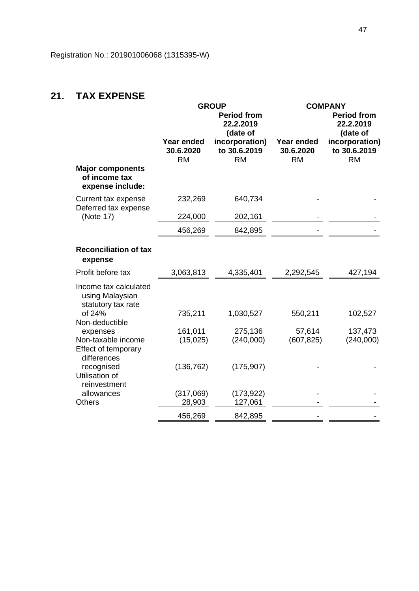# **21. TAX EXPENSE**

|                                                                |                                      | <b>GROUP</b><br><b>Period from</b><br>22.2.2019         |                                      | <b>COMPANY</b><br><b>Period from</b><br>22.2.2019       |
|----------------------------------------------------------------|--------------------------------------|---------------------------------------------------------|--------------------------------------|---------------------------------------------------------|
|                                                                | Year ended<br>30.6.2020<br><b>RM</b> | (date of<br>incorporation)<br>to 30.6.2019<br><b>RM</b> | Year ended<br>30.6.2020<br><b>RM</b> | (date of<br>incorporation)<br>to 30.6.2019<br><b>RM</b> |
| <b>Major components</b><br>of income tax<br>expense include:   |                                      |                                                         |                                      |                                                         |
| Current tax expense                                            | 232,269                              | 640,734                                                 |                                      |                                                         |
| Deferred tax expense<br>(Note 17)                              | 224,000                              | 202,161                                                 |                                      |                                                         |
|                                                                | 456,269                              | 842,895                                                 |                                      |                                                         |
| <b>Reconciliation of tax</b><br>expense                        |                                      |                                                         |                                      |                                                         |
| Profit before tax                                              | 3,063,813                            | 4,335,401                                               | 2,292,545                            | 427,194                                                 |
| Income tax calculated<br>using Malaysian<br>statutory tax rate |                                      |                                                         |                                      |                                                         |
| of 24%<br>Non-deductible                                       | 735,211                              | 1,030,527                                               | 550,211                              | 102,527                                                 |
| expenses<br>Non-taxable income                                 | 161,011<br>(15, 025)                 | 275,136<br>(240,000)                                    | 57,614<br>(607, 825)                 | 137,473<br>(240,000)                                    |
| Effect of temporary<br>differences                             |                                      |                                                         |                                      |                                                         |
| recognised<br>Utilisation of<br>reinvestment                   | (136, 762)                           | (175, 907)                                              |                                      |                                                         |
| allowances                                                     | (317,069)                            | (173, 922)                                              |                                      |                                                         |
| <b>Others</b>                                                  | 28,903                               | 127,061                                                 |                                      |                                                         |
|                                                                | 456,269                              | 842,895                                                 |                                      |                                                         |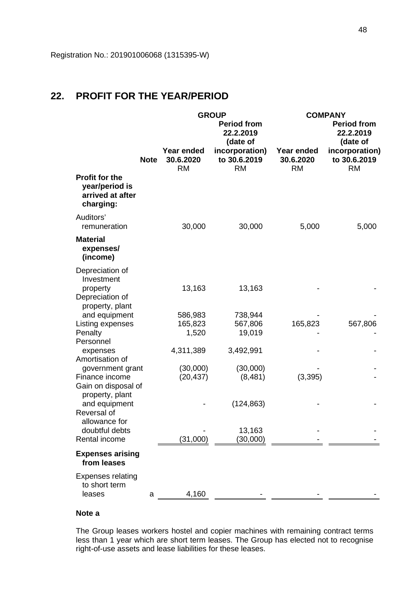# **22. PROFIT FOR THE YEAR/PERIOD**

|                                                                          |             | <b>GROUP</b>                                |                                             | <b>COMPANY</b>                       |                                             |  |
|--------------------------------------------------------------------------|-------------|---------------------------------------------|---------------------------------------------|--------------------------------------|---------------------------------------------|--|
|                                                                          |             | <b>Period from</b><br>22.2.2019<br>(date of |                                             |                                      | <b>Period from</b><br>22.2.2019<br>(date of |  |
|                                                                          | <b>Note</b> | Year ended<br>30.6.2020<br><b>RM</b>        | incorporation)<br>to 30.6.2019<br><b>RM</b> | Year ended<br>30.6.2020<br><b>RM</b> | incorporation)<br>to 30.6.2019<br><b>RM</b> |  |
| <b>Profit for the</b><br>year/period is<br>arrived at after<br>charging: |             |                                             |                                             |                                      |                                             |  |
| Auditors'<br>remuneration                                                |             | 30,000                                      | 30,000                                      | 5,000                                | 5,000                                       |  |
| <b>Material</b><br>expenses/<br>(income)                                 |             |                                             |                                             |                                      |                                             |  |
| Depreciation of<br>Investment<br>property                                |             | 13,163                                      | 13,163                                      |                                      |                                             |  |
| Depreciation of<br>property, plant                                       |             |                                             |                                             |                                      |                                             |  |
| and equipment                                                            |             | 586,983                                     | 738,944                                     |                                      |                                             |  |
| Listing expenses                                                         |             | 165,823                                     | 567,806                                     | 165,823                              | 567,806                                     |  |
| Penalty                                                                  |             | 1,520                                       | 19,019                                      |                                      |                                             |  |
| Personnel                                                                |             |                                             |                                             |                                      |                                             |  |
| expenses<br>Amortisation of                                              |             | 4,311,389                                   | 3,492,991                                   |                                      |                                             |  |
|                                                                          |             | (30,000)                                    | (30,000)                                    |                                      |                                             |  |
| government grant<br>Finance income                                       |             | (20, 437)                                   | (8,481)                                     | (3, 395)                             |                                             |  |
| Gain on disposal of<br>property, plant                                   |             |                                             |                                             |                                      |                                             |  |
| and equipment<br>Reversal of                                             |             |                                             | (124, 863)                                  |                                      |                                             |  |
| allowance for                                                            |             |                                             |                                             |                                      |                                             |  |
| doubtful debts                                                           |             |                                             | 13,163                                      |                                      |                                             |  |
| Rental income                                                            |             | (31,000)                                    | (30,000)                                    |                                      |                                             |  |
| <b>Expenses arising</b><br>from leases                                   |             |                                             |                                             |                                      |                                             |  |
| <b>Expenses relating</b><br>to short term                                |             |                                             |                                             |                                      |                                             |  |
| leases                                                                   | a           | 4,160                                       |                                             |                                      |                                             |  |

### **Note a**

The Group leases workers hostel and copier machines with remaining contract terms less than 1 year which are short term leases. The Group has elected not to recognise right-of-use assets and lease liabilities for these leases.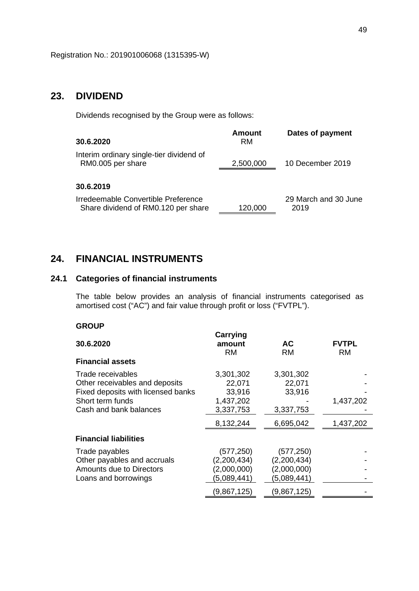## **23. DIVIDEND**

Dividends recognised by the Group were as follows:

| 30.6.2020                                                                  | <b>Amount</b><br>RM | Dates of payment             |
|----------------------------------------------------------------------------|---------------------|------------------------------|
| Interim ordinary single-tier dividend of<br>RM0.005 per share              | 2,500,000           | 10 December 2019             |
| 30.6.2019                                                                  |                     |                              |
| Irredeemable Convertible Preference<br>Share dividend of RM0.120 per share | 120,000             | 29 March and 30 June<br>2019 |

# **24. FINANCIAL INSTRUMENTS**

## **24.1 Categories of financial instruments**

The table below provides an analysis of financial instruments categorised as amortised cost ("AC") and fair value through profit or loss ("FVTPL").

### **GROUP**

| 30.6.2020                          | Carrying<br>amount<br><b>RM</b> | АC<br><b>RM</b> | <b>FVTPL</b><br><b>RM</b> |
|------------------------------------|---------------------------------|-----------------|---------------------------|
| <b>Financial assets</b>            |                                 |                 |                           |
| Trade receivables                  | 3,301,302                       | 3,301,302       |                           |
| Other receivables and deposits     | 22,071                          | 22,071          |                           |
| Fixed deposits with licensed banks | 33,916                          | 33,916          |                           |
| Short term funds                   | 1,437,202                       |                 | 1,437,202                 |
| Cash and bank balances             | 3,337,753                       | 3,337,753       |                           |
|                                    | 8,132,244                       | 6,695,042       | 1,437,202                 |
| <b>Financial liabilities</b>       |                                 |                 |                           |
| Trade payables                     | (577, 250)                      | (577, 250)      |                           |
| Other payables and accruals        | (2,200,434)                     | (2,200,434)     |                           |
| Amounts due to Directors           | (2,000,000)                     | (2,000,000)     |                           |
| Loans and borrowings               | (5,089,441)                     | (5,089,441)     |                           |
|                                    | (9,867,125)                     | (9,867,125)     |                           |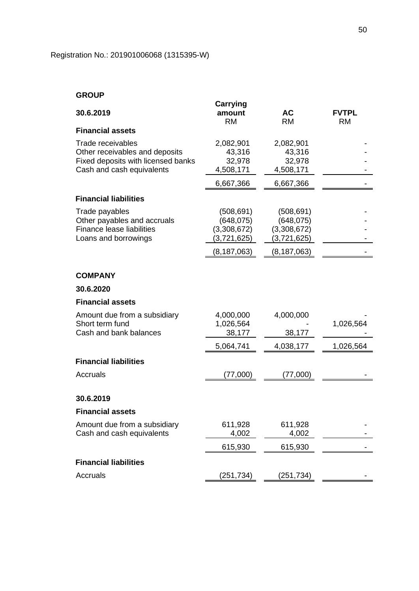## **GROUP**

|                                    | Carrying      |               |              |
|------------------------------------|---------------|---------------|--------------|
| 30.6.2019                          | amount        | <b>AC</b>     | <b>FVTPL</b> |
|                                    | <b>RM</b>     | <b>RM</b>     | <b>RM</b>    |
| <b>Financial assets</b>            |               |               |              |
| Trade receivables                  | 2,082,901     | 2,082,901     |              |
| Other receivables and deposits     | 43,316        | 43,316        |              |
| Fixed deposits with licensed banks | 32,978        | 32,978        |              |
| Cash and cash equivalents          | 4,508,171     | 4,508,171     |              |
|                                    | 6,667,366     | 6,667,366     |              |
| <b>Financial liabilities</b>       |               |               |              |
| Trade payables                     | (508, 691)    | (508, 691)    |              |
| Other payables and accruals        | (648, 075)    | (648, 075)    |              |
| <b>Finance lease liabilities</b>   | (3,308,672)   | (3,308,672)   |              |
| Loans and borrowings               | (3,721,625)   | (3,721,625)   |              |
|                                    | (8, 187, 063) | (8, 187, 063) |              |
|                                    |               |               |              |
| <b>COMPANY</b>                     |               |               |              |
| 30.6.2020                          |               |               |              |
| <b>Financial assets</b>            |               |               |              |
| Amount due from a subsidiary       | 4,000,000     | 4,000,000     |              |
| Short term fund                    | 1,026,564     |               | 1,026,564    |
| Cash and bank balances             | 38,177        | 38,177        |              |
|                                    | 5,064,741     | 4,038,177     | 1,026,564    |
| <b>Financial liabilities</b>       |               |               |              |
| Accruals                           | (77,000)      | (77,000)      |              |
|                                    |               |               |              |
| 30.6.2019                          |               |               |              |
| <b>Financial assets</b>            |               |               |              |
| Amount due from a subsidiary       | 611,928       | 611,928       |              |
| Cash and cash equivalents          | 4,002         | 4,002         |              |
|                                    | 615,930       | 615,930       |              |
| <b>Financial liabilities</b>       |               |               |              |
| <b>Accruals</b>                    | (251, 734)    | (251,734)     |              |
|                                    |               |               |              |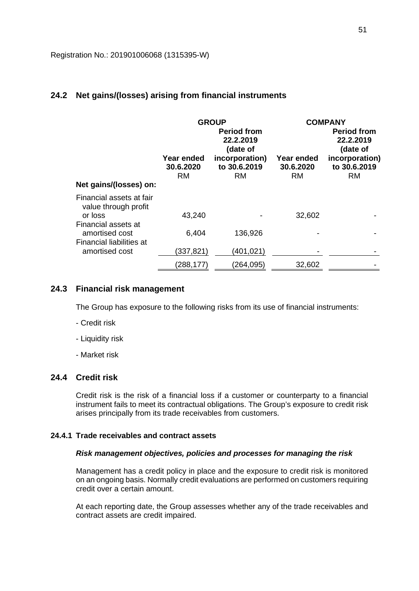## **24.2 Net gains/(losses) arising from financial instruments**

|                                                             | Year ended<br>30.6.2020<br><b>RM</b> | <b>GROUP</b><br><b>Period from</b><br>22.2.2019<br>(date of<br>incorporation)<br>to 30.6.2019<br><b>RM</b> | Year ended<br>30.6.2020<br><b>RM</b> | <b>COMPANY</b><br><b>Period from</b><br>22.2.2019<br>(date of<br>incorporation)<br>to 30.6.2019<br><b>RM</b> |
|-------------------------------------------------------------|--------------------------------------|------------------------------------------------------------------------------------------------------------|--------------------------------------|--------------------------------------------------------------------------------------------------------------|
| Net gains/(losses) on:                                      |                                      |                                                                                                            |                                      |                                                                                                              |
| Financial assets at fair<br>value through profit<br>or loss | 43,240                               |                                                                                                            | 32,602                               |                                                                                                              |
| Financial assets at<br>amortised cost                       | 6,404                                | 136,926                                                                                                    |                                      |                                                                                                              |
| Financial liabilities at<br>amortised cost                  | (337,821)                            | (401, 021)                                                                                                 |                                      |                                                                                                              |
|                                                             | (288,177)                            | (264, 095)                                                                                                 | 32,602                               |                                                                                                              |

### **24.3 Financial risk management**

The Group has exposure to the following risks from its use of financial instruments:

- Credit risk
- Liquidity risk
- Market risk

### **24.4 Credit risk**

Credit risk is the risk of a financial loss if a customer or counterparty to a financial instrument fails to meet its contractual obligations. The Group's exposure to credit risk arises principally from its trade receivables from customers.

### **24.4.1 Trade receivables and contract assets**

### *Risk management objectives, policies and processes for managing the risk*

Management has a credit policy in place and the exposure to credit risk is monitored on an ongoing basis. Normally credit evaluations are performed on customers requiring credit over a certain amount.

At each reporting date, the Group assesses whether any of the trade receivables and contract assets are credit impaired.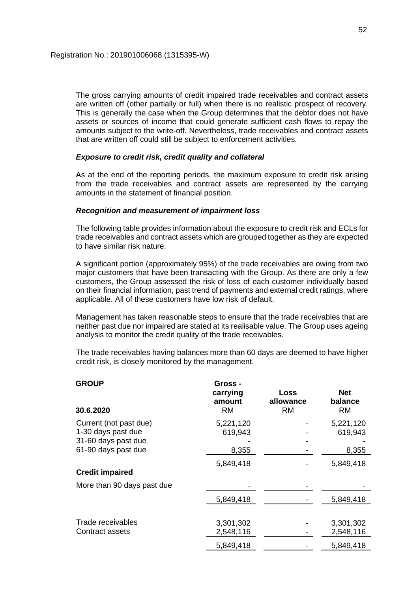The gross carrying amounts of credit impaired trade receivables and contract assets are written off (other partially or full) when there is no realistic prospect of recovery. This is generally the case when the Group determines that the debtor does not have assets or sources of income that could generate sufficient cash flows to repay the amounts subject to the write-off. Nevertheless, trade receivables and contract assets that are written off could still be subject to enforcement activities.

### *Exposure to credit risk, credit quality and collateral*

As at the end of the reporting periods, the maximum exposure to credit risk arising from the trade receivables and contract assets are represented by the carrying amounts in the statement of financial position.

### *Recognition and measurement of impairment loss*

The following table provides information about the exposure to credit risk and ECLs for trade receivables and contract assets which are grouped together as they are expected to have similar risk nature.

A significant portion (approximately 95%) of the trade receivables are owing from two major customers that have been transacting with the Group. As there are only a few customers, the Group assessed the risk of loss of each customer individually based on their financial information, past trend of payments and external credit ratings, where applicable. All of these customers have low risk of default.

Management has taken reasonable steps to ensure that the trade receivables that are neither past due nor impaired are stated at its realisable value. The Group uses ageing analysis to monitor the credit quality of the trade receivables.

The trade receivables having balances more than 60 days are deemed to have higher credit risk, is closely monitored by the management.

| <b>GROUP</b><br>30.6.2020  | Gross -<br>carrying<br>amount<br><b>RM</b> | <b>Loss</b><br>allowance<br><b>RM</b> | <b>Net</b><br>balance<br><b>RM</b> |
|----------------------------|--------------------------------------------|---------------------------------------|------------------------------------|
| Current (not past due)     | 5,221,120                                  |                                       | 5,221,120                          |
| 1-30 days past due         | 619,943                                    |                                       | 619,943                            |
| 31-60 days past due        |                                            |                                       |                                    |
| 61-90 days past due        | 8,355                                      |                                       | 8,355                              |
|                            | 5,849,418                                  |                                       | 5,849,418                          |
| <b>Credit impaired</b>     |                                            |                                       |                                    |
| More than 90 days past due |                                            |                                       |                                    |
|                            | 5,849,418                                  |                                       | 5,849,418                          |
|                            |                                            |                                       |                                    |
| Trade receivables          | 3,301,302                                  |                                       | 3,301,302                          |
| Contract assets            | 2,548,116                                  |                                       | 2,548,116                          |
|                            | 5,849,418                                  |                                       | 5,849,418                          |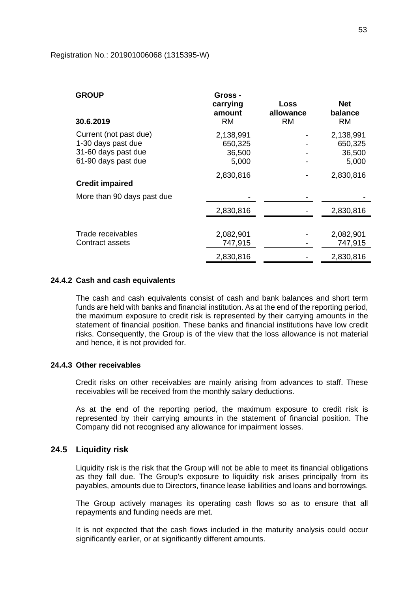#### Registration No.: 201901006068 (1315395-W)

| <b>GROUP</b><br>30.6.2019  | Gross -<br>carrying<br>amount<br><b>RM</b> | Loss<br>allowance<br>RM | <b>Net</b><br>balance<br><b>RM</b> |
|----------------------------|--------------------------------------------|-------------------------|------------------------------------|
| Current (not past due)     | 2,138,991                                  |                         | 2,138,991                          |
| 1-30 days past due         | 650,325                                    |                         | 650,325                            |
| 31-60 days past due        | 36,500                                     |                         | 36,500                             |
| 61-90 days past due        | 5,000                                      |                         | 5,000                              |
|                            | 2,830,816                                  |                         | 2,830,816                          |
| <b>Credit impaired</b>     |                                            |                         |                                    |
| More than 90 days past due |                                            |                         |                                    |
|                            | 2,830,816                                  |                         | 2,830,816                          |
|                            |                                            |                         |                                    |
| Trade receivables          | 2,082,901                                  |                         | 2,082,901                          |
| Contract assets            | 747,915                                    |                         | 747,915                            |
|                            | 2,830,816                                  |                         | 2,830,816                          |

#### **24.4.2 Cash and cash equivalents**

The cash and cash equivalents consist of cash and bank balances and short term funds are held with banks and financial institution. As at the end of the reporting period, the maximum exposure to credit risk is represented by their carrying amounts in the statement of financial position. These banks and financial institutions have low credit risks. Consequently, the Group is of the view that the loss allowance is not material and hence, it is not provided for.

### **24.4.3 Other receivables**

Credit risks on other receivables are mainly arising from advances to staff. These receivables will be received from the monthly salary deductions.

As at the end of the reporting period, the maximum exposure to credit risk is represented by their carrying amounts in the statement of financial position. The Company did not recognised any allowance for impairment losses.

### **24.5 Liquidity risk**

Liquidity risk is the risk that the Group will not be able to meet its financial obligations as they fall due. The Group's exposure to liquidity risk arises principally from its payables, amounts due to Directors, finance lease liabilities and loans and borrowings.

The Group actively manages its operating cash flows so as to ensure that all repayments and funding needs are met.

It is not expected that the cash flows included in the maturity analysis could occur significantly earlier, or at significantly different amounts.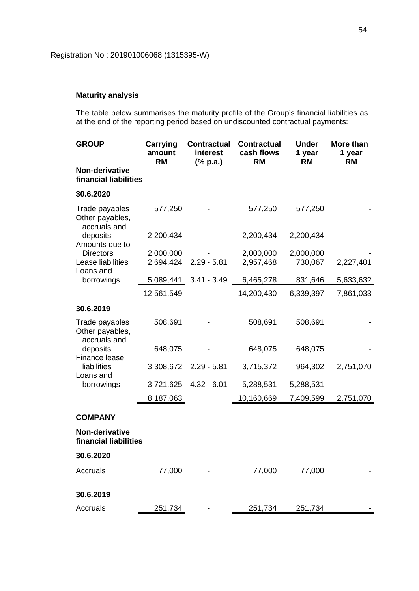## **Maturity analysis**

The table below summarises the maturity profile of the Group's financial liabilities as at the end of the reporting period based on undiscounted contractual payments:

| <b>GROUP</b>                                      | Carrying<br>amount<br><b>RM</b> | <b>Contractual</b><br>interest<br>$(% \mathbf{a})$ (% p.a.) | <b>Contractual</b><br>cash flows<br><b>RM</b> | <b>Under</b><br>1 year<br><b>RM</b> | More than<br>1 year<br><b>RM</b> |
|---------------------------------------------------|---------------------------------|-------------------------------------------------------------|-----------------------------------------------|-------------------------------------|----------------------------------|
| Non-derivative<br>financial liabilities           |                                 |                                                             |                                               |                                     |                                  |
| 30.6.2020                                         |                                 |                                                             |                                               |                                     |                                  |
| Trade payables<br>Other payables,<br>accruals and | 577,250                         |                                                             | 577,250                                       | 577,250                             |                                  |
| deposits<br>Amounts due to                        | 2,200,434                       |                                                             | 2,200,434                                     | 2,200,434                           |                                  |
| <b>Directors</b>                                  | 2,000,000                       |                                                             | 2,000,000                                     | 2,000,000                           |                                  |
| Lease liabilities<br>Loans and                    | 2,694,424                       | $2.29 - 5.81$                                               | 2,957,468                                     | 730,067                             | 2,227,401                        |
| borrowings                                        | 5,089,441                       | $3.41 - 3.49$                                               | 6,465,278                                     | 831,646                             | 5,633,632                        |
|                                                   | 12,561,549                      |                                                             | 14,200,430                                    | 6,339,397                           | 7,861,033                        |
| 30.6.2019                                         |                                 |                                                             |                                               |                                     |                                  |
| Trade payables<br>Other payables,<br>accruals and | 508,691                         |                                                             | 508,691                                       | 508,691                             |                                  |
| deposits<br>Finance lease                         | 648,075                         |                                                             | 648,075                                       | 648,075                             |                                  |
| liabilities<br>Loans and                          | 3,308,672                       | $2.29 - 5.81$                                               | 3,715,372                                     | 964,302                             | 2,751,070                        |
| borrowings                                        | 3,721,625                       | $4.32 - 6.01$                                               | 5,288,531                                     | 5,288,531                           |                                  |
|                                                   | 8,187,063                       |                                                             | 10,160,669                                    | 7,409,599                           | 2,751,070                        |
| <b>COMPANY</b>                                    |                                 |                                                             |                                               |                                     |                                  |
| Non-derivative<br>financial liabilities           |                                 |                                                             |                                               |                                     |                                  |
| 30.6.2020                                         |                                 |                                                             |                                               |                                     |                                  |
| <b>Accruals</b>                                   | 77,000                          |                                                             | 77,000                                        | 77,000                              |                                  |
|                                                   |                                 |                                                             |                                               |                                     |                                  |
| 30.6.2019                                         |                                 |                                                             |                                               |                                     |                                  |
| Accruals                                          | 251,734                         |                                                             | 251,734                                       | 251,734                             |                                  |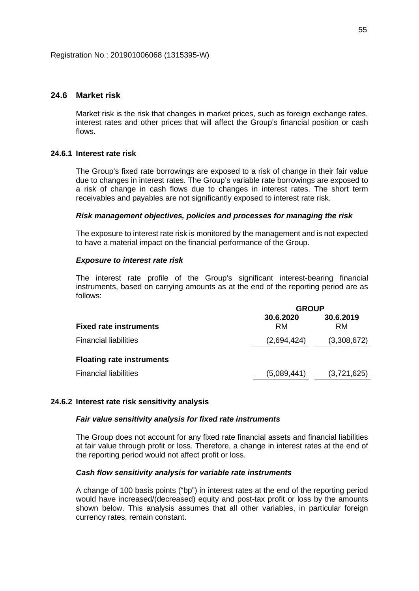### **24.6 Market risk**

Market risk is the risk that changes in market prices, such as foreign exchange rates, interest rates and other prices that will affect the Group's financial position or cash flows.

### **24.6.1 Interest rate risk**

The Group's fixed rate borrowings are exposed to a risk of change in their fair value due to changes in interest rates. The Group's variable rate borrowings are exposed to a risk of change in cash flows due to changes in interest rates. The short term receivables and payables are not significantly exposed to interest rate risk.

### *Risk management objectives, policies and processes for managing the risk*

The exposure to interest rate risk is monitored by the management and is not expected to have a material impact on the financial performance of the Group.

### *Exposure to interest rate risk*

The interest rate profile of the Group's significant interest-bearing financial instruments, based on carrying amounts as at the end of the reporting period are as follows:

|                                  | <b>GROUP</b>           |                        |  |
|----------------------------------|------------------------|------------------------|--|
| <b>Fixed rate instruments</b>    | 30.6.2020<br><b>RM</b> | 30.6.2019<br><b>RM</b> |  |
| <b>Financial liabilities</b>     | (2,694,424)            | (3,308,672)            |  |
| <b>Floating rate instruments</b> |                        |                        |  |
| <b>Financial liabilities</b>     | (5,089,441)            | (3,721,625)            |  |

### **24.6.2 Interest rate risk sensitivity analysis**

### *Fair value sensitivity analysis for fixed rate instruments*

The Group does not account for any fixed rate financial assets and financial liabilities at fair value through profit or loss. Therefore, a change in interest rates at the end of the reporting period would not affect profit or loss.

### *Cash flow sensitivity analysis for variable rate instruments*

A change of 100 basis points ("bp") in interest rates at the end of the reporting period would have increased/(decreased) equity and post-tax profit or loss by the amounts shown below. This analysis assumes that all other variables, in particular foreign currency rates, remain constant.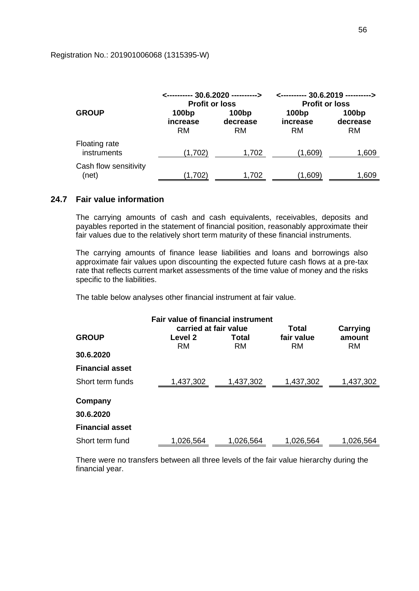### Registration No.: 201901006068 (1315395-W)

|                                     | <---------- 30.6.2020 ----------><br><b>Profit or loss</b> |                                     | <---------- 30.6.2019 ----------><br><b>Profit or loss</b> |                                |
|-------------------------------------|------------------------------------------------------------|-------------------------------------|------------------------------------------------------------|--------------------------------|
| <b>GROUP</b>                        | 100bp<br>increase<br><b>RM</b>                             | 100 <sub>bp</sub><br>decrease<br>RM | 100bp<br>increase<br>RM                                    | 100bp<br>decrease<br><b>RM</b> |
| <b>Floating rate</b><br>instruments | (1,702)                                                    | 1,702                               | (1,609)                                                    | 1,609                          |
| Cash flow sensitivity<br>(net)      | (1,702)                                                    | 1,702                               | (1,609)                                                    | 1,609                          |

## **24.7 Fair value information**

The carrying amounts of cash and cash equivalents, receivables, deposits and payables reported in the statement of financial position, reasonably approximate their fair values due to the relatively short term maturity of these financial instruments.

The carrying amounts of finance lease liabilities and loans and borrowings also approximate fair values upon discounting the expected future cash flows at a pre-tax rate that reflects current market assessments of the time value of money and the risks specific to the liabilities.

The table below analyses other financial instrument at fair value.

| <b>Fair value of financial instrument</b><br>carried at fair value<br>Total<br>Carrying |               |             |                         |                     |
|-----------------------------------------------------------------------------------------|---------------|-------------|-------------------------|---------------------|
| <b>GROUP</b>                                                                            | Level 2<br>RM | Total<br>RM | fair value<br><b>RM</b> | amount<br><b>RM</b> |
| 30.6.2020                                                                               |               |             |                         |                     |
| <b>Financial asset</b>                                                                  |               |             |                         |                     |
| Short term funds                                                                        | 1,437,302     | 1,437,302   | 1,437,302               | 1,437,302           |
| Company                                                                                 |               |             |                         |                     |
| 30.6.2020                                                                               |               |             |                         |                     |
| <b>Financial asset</b>                                                                  |               |             |                         |                     |
| Short term fund                                                                         | 1,026,564     | 1,026,564   | 1,026,564               | 1,026,564           |

There were no transfers between all three levels of the fair value hierarchy during the financial year.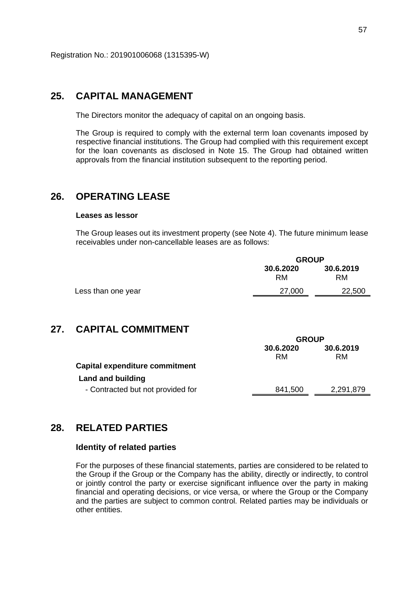## **25. CAPITAL MANAGEMENT**

The Directors monitor the adequacy of capital on an ongoing basis.

The Group is required to comply with the external term loan covenants imposed by respective financial institutions. The Group had complied with this requirement except for the loan covenants as disclosed in Note 15. The Group had obtained written approvals from the financial institution subsequent to the reporting period.

# **26. OPERATING LEASE**

### **Leases as lessor**

The Group leases out its investment property (see Note 4). The future minimum lease receivables under non-cancellable leases are as follows:

|                    | <b>GROUP</b>    |                 |
|--------------------|-----------------|-----------------|
|                    | 30.6.2020<br>RM | 30.6.2019<br>RM |
| Less than one year | 27,000          | 22,500          |

## **27. CAPITAL COMMITMENT**

|                                   | <b>GROUP</b>    |                 |
|-----------------------------------|-----------------|-----------------|
| Capital expenditure commitment    | 30.6.2020<br>RM | 30.6.2019<br>RM |
| Land and building                 |                 |                 |
| - Contracted but not provided for | 841,500         | 2,291,879       |

## **28. RELATED PARTIES**

### **Identity of related parties**

For the purposes of these financial statements, parties are considered to be related to the Group if the Group or the Company has the ability, directly or indirectly, to control or jointly control the party or exercise significant influence over the party in making financial and operating decisions, or vice versa, or where the Group or the Company and the parties are subject to common control. Related parties may be individuals or other entities.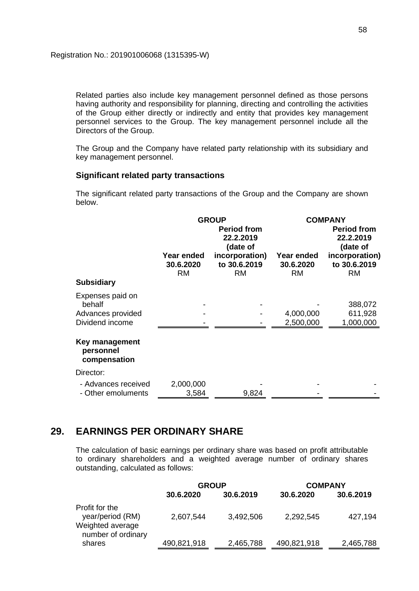Related parties also include key management personnel defined as those persons having authority and responsibility for planning, directing and controlling the activities of the Group either directly or indirectly and entity that provides key management personnel services to the Group. The key management personnel include all the Directors of the Group.

The Group and the Company have related party relationship with its subsidiary and key management personnel.

## **Significant related party transactions**

The significant related party transactions of the Group and the Company are shown below.

|                                             | <b>GROUP</b>                                |                                             | <b>COMPANY</b>                       |                                             |
|---------------------------------------------|---------------------------------------------|---------------------------------------------|--------------------------------------|---------------------------------------------|
|                                             | <b>Period from</b><br>22.2.2019<br>(date of |                                             |                                      | <b>Period from</b><br>22.2.2019<br>(date of |
|                                             | Year ended<br>30.6.2020<br><b>RM</b>        | incorporation)<br>to 30.6.2019<br><b>RM</b> | Year ended<br>30.6.2020<br><b>RM</b> | incorporation)<br>to 30.6.2019<br><b>RM</b> |
| <b>Subsidiary</b>                           |                                             |                                             |                                      |                                             |
| Expenses paid on<br>behalf                  |                                             |                                             |                                      | 388,072                                     |
| Advances provided                           |                                             |                                             | 4,000,000                            | 611,928                                     |
| Dividend income                             |                                             |                                             | 2,500,000                            | 1,000,000                                   |
| Key management<br>personnel<br>compensation |                                             |                                             |                                      |                                             |
| Director:                                   |                                             |                                             |                                      |                                             |
| - Advances received                         | 2,000,000                                   |                                             |                                      |                                             |
| - Other emoluments                          | 3,584                                       | 9,824                                       |                                      |                                             |

## **29. EARNINGS PER ORDINARY SHARE**

The calculation of basic earnings per ordinary share was based on profit attributable to ordinary shareholders and a weighted average number of ordinary shares outstanding, calculated as follows:

|                                                                              | <b>GROUP</b> |           | <b>COMPANY</b> |           |
|------------------------------------------------------------------------------|--------------|-----------|----------------|-----------|
|                                                                              | 30.6.2020    | 30.6.2019 | 30.6.2020      | 30.6.2019 |
| Profit for the<br>year/period (RM)<br>Weighted average<br>number of ordinary | 2,607,544    | 3,492,506 | 2,292,545      | 427,194   |
| shares                                                                       | 490,821,918  | 2,465,788 | 490,821,918    | 2,465,788 |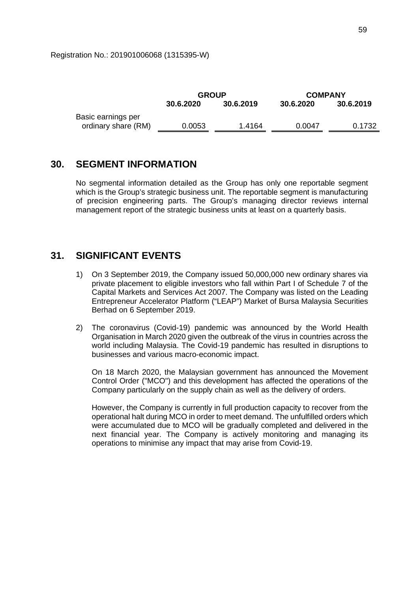|                     | <b>GROUP</b> |           | <b>COMPANY</b> |           |
|---------------------|--------------|-----------|----------------|-----------|
|                     | 30.6.2020    | 30.6.2019 | 30.6.2020      | 30.6.2019 |
| Basic earnings per  |              |           |                |           |
| ordinary share (RM) | 0.0053       | 1.4164    | 0.0047         | 0.1732    |
|                     |              |           |                |           |

## **30. SEGMENT INFORMATION**

No segmental information detailed as the Group has only one reportable segment which is the Group's strategic business unit. The reportable segment is manufacturing of precision engineering parts. The Group's managing director reviews internal management report of the strategic business units at least on a quarterly basis.

## **31. SIGNIFICANT EVENTS**

- 1) On 3 September 2019, the Company issued 50,000,000 new ordinary shares via private placement to eligible investors who fall within Part I of Schedule 7 of the Capital Markets and Services Act 2007. The Company was listed on the Leading Entrepreneur Accelerator Platform ("LEAP") Market of Bursa Malaysia Securities Berhad on 6 September 2019.
- 2) The coronavirus (Covid-19) pandemic was announced by the World Health Organisation in March 2020 given the outbreak of the virus in countries across the world including Malaysia. The Covid-19 pandemic has resulted in disruptions to businesses and various macro-economic impact.

On 18 March 2020, the Malaysian government has announced the Movement Control Order ("MCO") and this development has affected the operations of the Company particularly on the supply chain as well as the delivery of orders.

However, the Company is currently in full production capacity to recover from the operational halt during MCO in order to meet demand. The unfulfilled orders which were accumulated due to MCO will be gradually completed and delivered in the next financial year. The Company is actively monitoring and managing its operations to minimise any impact that may arise from Covid-19.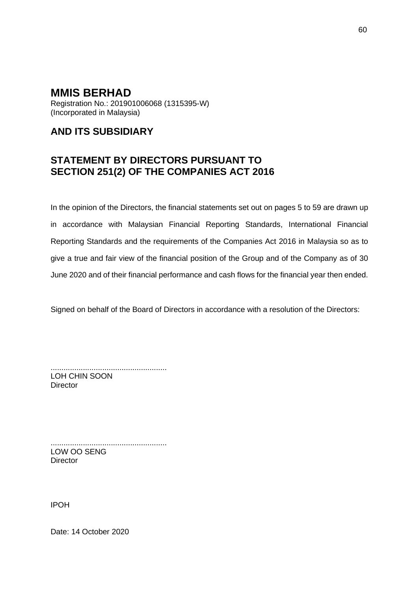Registration No.: 201901006068 (1315395-W) (Incorporated in Malaysia)

# **AND ITS SUBSIDIARY**

# **STATEMENT BY DIRECTORS PURSUANT TO SECTION 251(2) OF THE COMPANIES ACT 2016**

In the opinion of the Directors, the financial statements set out on pages 5 to 59 are drawn up in accordance with Malaysian Financial Reporting Standards, International Financial Reporting Standards and the requirements of the Companies Act 2016 in Malaysia so as to give a true and fair view of the financial position of the Group and of the Company as of 30 June 2020 and of their financial performance and cash flows for the financial year then ended.

Signed on behalf of the Board of Directors in accordance with a resolution of the Directors:

...................................................... LOH CHIN SOON **Director** 

...................................................... LOW OO SENG **Director** 

IPOH

Date: 14 October 2020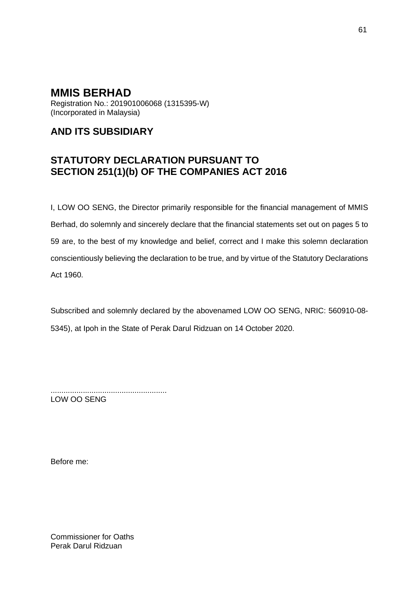Registration No.: 201901006068 (1315395-W) (Incorporated in Malaysia)

# **AND ITS SUBSIDIARY**

# **STATUTORY DECLARATION PURSUANT TO SECTION 251(1)(b) OF THE COMPANIES ACT 2016**

I, LOW OO SENG, the Director primarily responsible for the financial management of MMIS Berhad, do solemnly and sincerely declare that the financial statements set out on pages 5 to 59 are, to the best of my knowledge and belief, correct and I make this solemn declaration conscientiously believing the declaration to be true, and by virtue of the Statutory Declarations Act 1960.

Subscribed and solemnly declared by the abovenamed LOW OO SENG, NRIC: 560910-08- 5345), at Ipoh in the State of Perak Darul Ridzuan on 14 October 2020.

...................................................... LOW OO SENG

Before me:

Commissioner for Oaths Perak Darul Ridzuan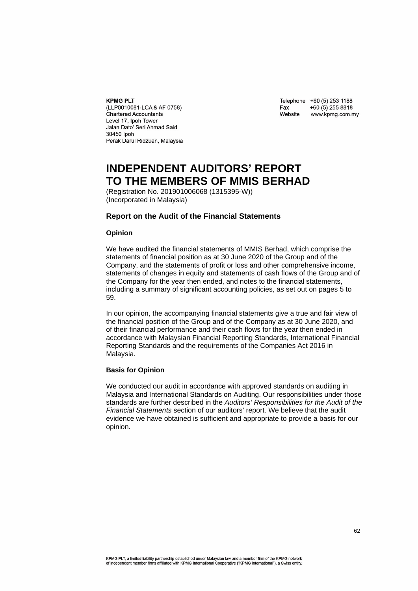#### **KPMG PLT**

(LLP0010081-LCA & AF 0758) **Chartered Accountants** Level 17, Ipoh Tower Jalan Dato' Seri Ahmad Said 30450 lpoh Perak Darul Ridzuan, Malaysia

| Telephone | +60 (5) 253 1188 |
|-----------|------------------|
| Fax       | +60 (5) 255 8818 |
| Website   | www.kpmg.com.my  |

# **INDEPENDENT AUDITORS' REPORT TO THE MEMBERS OF MMIS BERHAD**

(Registration No. 201901006068 (1315395-W)) (Incorporated in Malaysia)

#### **Report on the Audit of the Financial Statements**

#### **Opinion**

We have audited the financial statements of MMIS Berhad, which comprise the statements of financial position as at 30 June 2020 of the Group and of the Company, and the statements of profit or loss and other comprehensive income, statements of changes in equity and statements of cash flows of the Group and of the Company for the year then ended, and notes to the financial statements, including a summary of significant accounting policies, as set out on pages 5 to 59.

In our opinion, the accompanying financial statements give a true and fair view of the financial position of the Group and of the Company as at 30 June 2020, and of their financial performance and their cash flows for the year then ended in accordance with Malaysian Financial Reporting Standards, International Financial Reporting Standards and the requirements of the Companies Act 2016 in Malaysia.

#### **Basis for Opinion**

We conducted our audit in accordance with approved standards on auditing in Malaysia and International Standards on Auditing. Our responsibilities under those standards are further described in the *Auditors' Responsibilities for the Audit of the Financial Statements* section of our auditors' report. We believe that the audit evidence we have obtained is sufficient and appropriate to provide a basis for our opinion.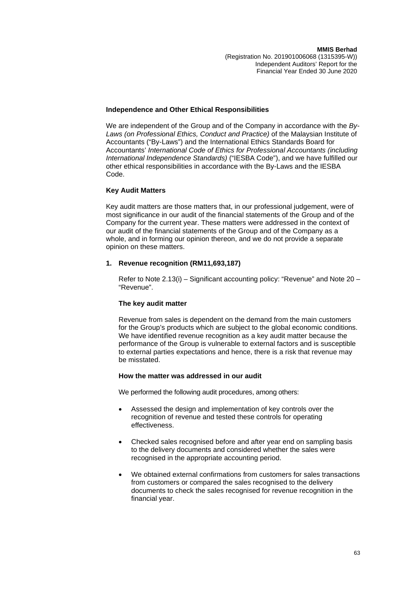#### **Independence and Other Ethical Responsibilities**

We are independent of the Group and of the Company in accordance with the *By-Laws (on Professional Ethics, Conduct and Practice)* of the Malaysian Institute of Accountants ("By-Laws") and the International Ethics Standards Board for Accountants' *International Code of Ethics for Professional Accountants (including International Independence Standards)* ("IESBA Code"), and we have fulfilled our other ethical responsibilities in accordance with the By-Laws and the IESBA Code.

#### **Key Audit Matters**

Key audit matters are those matters that, in our professional judgement, were of most significance in our audit of the financial statements of the Group and of the Company for the current year. These matters were addressed in the context of our audit of the financial statements of the Group and of the Company as a whole, and in forming our opinion thereon, and we do not provide a separate opinion on these matters.

#### **1. Revenue recognition (RM11,693,187)**

Refer to Note 2.13(i) – Significant accounting policy: "Revenue" and Note 20 – "Revenue".

#### **The key audit matter**

Revenue from sales is dependent on the demand from the main customers for the Group's products which are subject to the global economic conditions. We have identified revenue recognition as a key audit matter because the performance of the Group is vulnerable to external factors and is susceptible to external parties expectations and hence, there is a risk that revenue may be misstated.

#### **How the matter was addressed in our audit**

We performed the following audit procedures, among others:

- Assessed the design and implementation of key controls over the recognition of revenue and tested these controls for operating effectiveness.
- Checked sales recognised before and after year end on sampling basis to the delivery documents and considered whether the sales were recognised in the appropriate accounting period.
- We obtained external confirmations from customers for sales transactions from customers or compared the sales recognised to the delivery documents to check the sales recognised for revenue recognition in the financial year.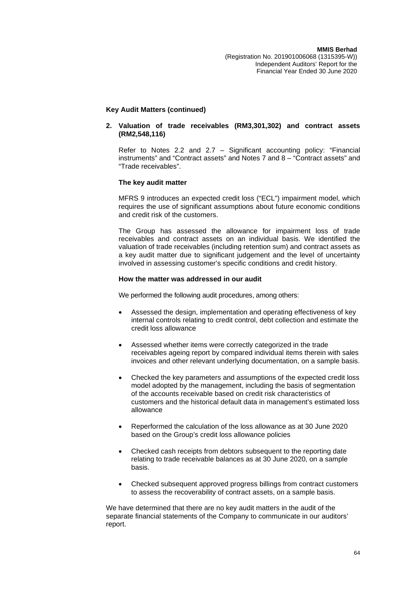#### **Key Audit Matters (continued)**

#### **2. Valuation of trade receivables (RM3,301,302) and contract assets (RM2,548,116)**

Refer to Notes 2.2 and 2.7 – Significant accounting policy: "Financial instruments" and "Contract assets" and Notes 7 and 8 – "Contract assets" and "Trade receivables".

#### **The key audit matter**

MFRS 9 introduces an expected credit loss ("ECL") impairment model, which requires the use of significant assumptions about future economic conditions and credit risk of the customers.

The Group has assessed the allowance for impairment loss of trade receivables and contract assets on an individual basis. We identified the valuation of trade receivables (including retention sum) and contract assets as a key audit matter due to significant judgement and the level of uncertainty involved in assessing customer's specific conditions and credit history.

#### **How the matter was addressed in our audit**

We performed the following audit procedures, among others:

- Assessed the design, implementation and operating effectiveness of key internal controls relating to credit control, debt collection and estimate the credit loss allowance
- Assessed whether items were correctly categorized in the trade receivables ageing report by compared individual items therein with sales invoices and other relevant underlying documentation, on a sample basis.
- Checked the key parameters and assumptions of the expected credit loss model adopted by the management, including the basis of segmentation of the accounts receivable based on credit risk characteristics of customers and the historical default data in management's estimated loss allowance
- Reperformed the calculation of the loss allowance as at 30 June 2020 based on the Group's credit loss allowance policies
- Checked cash receipts from debtors subsequent to the reporting date relating to trade receivable balances as at 30 June 2020, on a sample basis.
- Checked subsequent approved progress billings from contract customers to assess the recoverability of contract assets, on a sample basis.

We have determined that there are no key audit matters in the audit of the separate financial statements of the Company to communicate in our auditors' report.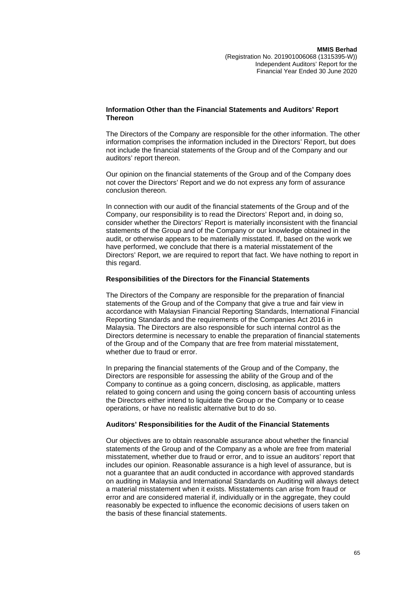#### **Information Other than the Financial Statements and Auditors' Report Thereon**

The Directors of the Company are responsible for the other information. The other information comprises the information included in the Directors' Report, but does not include the financial statements of the Group and of the Company and our auditors' report thereon.

Our opinion on the financial statements of the Group and of the Company does not cover the Directors' Report and we do not express any form of assurance conclusion thereon.

In connection with our audit of the financial statements of the Group and of the Company, our responsibility is to read the Directors' Report and, in doing so, consider whether the Directors' Report is materially inconsistent with the financial statements of the Group and of the Company or our knowledge obtained in the audit, or otherwise appears to be materially misstated. If, based on the work we have performed, we conclude that there is a material misstatement of the Directors' Report, we are required to report that fact. We have nothing to report in this regard.

#### **Responsibilities of the Directors for the Financial Statements**

The Directors of the Company are responsible for the preparation of financial statements of the Group and of the Company that give a true and fair view in accordance with Malaysian Financial Reporting Standards, International Financial Reporting Standards and the requirements of the Companies Act 2016 in Malaysia. The Directors are also responsible for such internal control as the Directors determine is necessary to enable the preparation of financial statements of the Group and of the Company that are free from material misstatement, whether due to fraud or error.

In preparing the financial statements of the Group and of the Company, the Directors are responsible for assessing the ability of the Group and of the Company to continue as a going concern, disclosing, as applicable, matters related to going concern and using the going concern basis of accounting unless the Directors either intend to liquidate the Group or the Company or to cease operations, or have no realistic alternative but to do so.

#### **Auditors' Responsibilities for the Audit of the Financial Statements**

Our objectives are to obtain reasonable assurance about whether the financial statements of the Group and of the Company as a whole are free from material misstatement, whether due to fraud or error, and to issue an auditors' report that includes our opinion. Reasonable assurance is a high level of assurance, but is not a guarantee that an audit conducted in accordance with approved standards on auditing in Malaysia and International Standards on Auditing will always detect a material misstatement when it exists. Misstatements can arise from fraud or error and are considered material if, individually or in the aggregate, they could reasonably be expected to influence the economic decisions of users taken on the basis of these financial statements.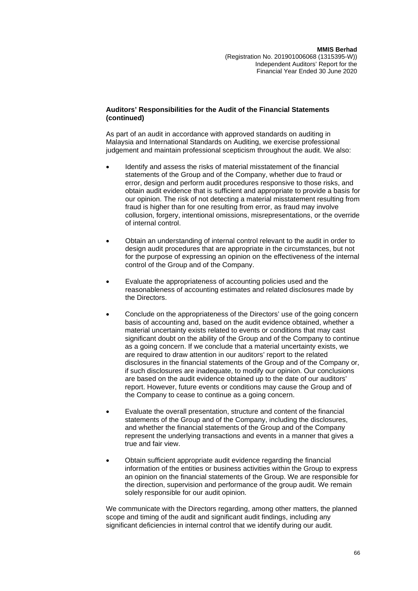### **Auditors' Responsibilities for the Audit of the Financial Statements (continued)**

As part of an audit in accordance with approved standards on auditing in Malaysia and International Standards on Auditing, we exercise professional judgement and maintain professional scepticism throughout the audit. We also:

- Identify and assess the risks of material misstatement of the financial statements of the Group and of the Company, whether due to fraud or error, design and perform audit procedures responsive to those risks, and obtain audit evidence that is sufficient and appropriate to provide a basis for our opinion. The risk of not detecting a material misstatement resulting from fraud is higher than for one resulting from error, as fraud may involve collusion, forgery, intentional omissions, misrepresentations, or the override of internal control.
- Obtain an understanding of internal control relevant to the audit in order to design audit procedures that are appropriate in the circumstances, but not for the purpose of expressing an opinion on the effectiveness of the internal control of the Group and of the Company.
- Evaluate the appropriateness of accounting policies used and the reasonableness of accounting estimates and related disclosures made by the Directors.
- Conclude on the appropriateness of the Directors' use of the going concern basis of accounting and, based on the audit evidence obtained, whether a material uncertainty exists related to events or conditions that may cast significant doubt on the ability of the Group and of the Company to continue as a going concern. If we conclude that a material uncertainty exists, we are required to draw attention in our auditors' report to the related disclosures in the financial statements of the Group and of the Company or, if such disclosures are inadequate, to modify our opinion. Our conclusions are based on the audit evidence obtained up to the date of our auditors' report. However, future events or conditions may cause the Group and of the Company to cease to continue as a going concern.
- Evaluate the overall presentation, structure and content of the financial statements of the Group and of the Company, including the disclosures, and whether the financial statements of the Group and of the Company represent the underlying transactions and events in a manner that gives a true and fair view.
- Obtain sufficient appropriate audit evidence regarding the financial information of the entities or business activities within the Group to express an opinion on the financial statements of the Group. We are responsible for the direction, supervision and performance of the group audit. We remain solely responsible for our audit opinion.

We communicate with the Directors regarding, among other matters, the planned scope and timing of the audit and significant audit findings, including any significant deficiencies in internal control that we identify during our audit.